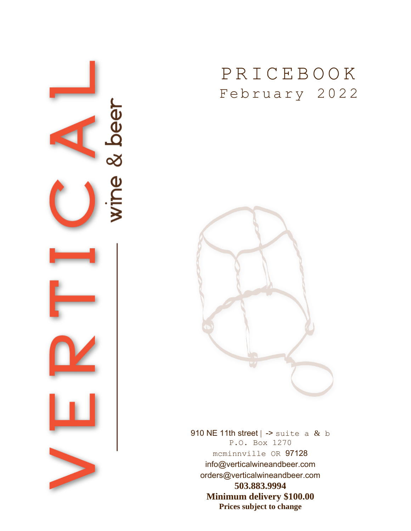

## P R I C E B O O K February 2022



910 NE 11th street  $\vert$  -> suite a & b P.O. Box 1270 mcminnville OR 97128 info@verticalwineandbeer.com orders@verticalwineandbeer.com **503.883.9994 Minimum delivery \$100.00 Prices subject to change**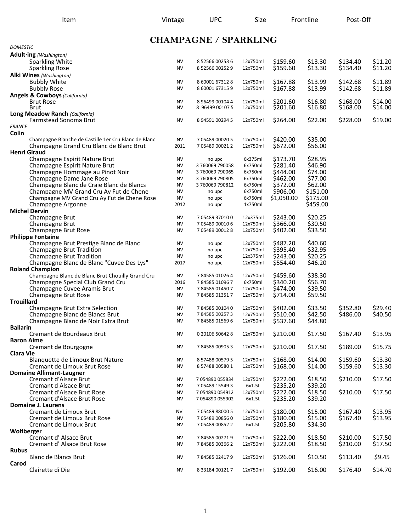## **CHAMPAGNE / SPARKLING**

| <b>DOMESTIC</b>                                                    |                        |                                  |                      |                      |                    |          |         |
|--------------------------------------------------------------------|------------------------|----------------------------------|----------------------|----------------------|--------------------|----------|---------|
| Adult-ing (Washington)                                             |                        |                                  |                      |                      |                    |          |         |
| Sparkling White                                                    | <b>NV</b>              | 8 52566 00253 6                  | 12x750ml             | \$159.60             | \$13.30            | \$134.40 | \$11.20 |
| <b>Sparkling Rose</b>                                              | <b>NV</b>              | 8 52566 00252 9                  | 12x750ml             | \$159.60             | \$13.30            | \$134.40 | \$11.20 |
| Alki Wines (Washington)                                            |                        |                                  |                      |                      |                    |          |         |
| <b>Bubbly White</b>                                                | <b>NV</b>              | 8 60001 67312 8                  | 12x750ml             | \$167.88             | \$13.99            | \$142.68 | \$11.89 |
| <b>Bubbly Rose</b>                                                 | <b>NV</b>              | 8 60001 67315 9                  | 12x750ml             | \$167.88             | \$13.99            | \$142.68 | \$11.89 |
| <b>Angels &amp; Cowboys (California)</b><br><b>Brut Rose</b>       | <b>NV</b>              | 8 96499 00104 4                  | 12x750ml             | \$201.60             | \$16.80            | \$168.00 | \$14.00 |
| <b>Brut</b>                                                        | <b>NV</b>              | 8 96499 00107 5                  | 12x750ml             | \$201.60             | \$16.80            | \$168.00 | \$14.00 |
| Long Meadow Ranch (California)                                     |                        |                                  |                      |                      |                    |          |         |
| Farmstead Sonoma Brut                                              | <b>NV</b>              | 8 94591 00294 5                  | 12x750ml             | \$264.00             | \$22.00            | \$228.00 | \$19.00 |
| <b>FRANCE</b>                                                      |                        |                                  |                      |                      |                    |          |         |
| Colin                                                              |                        |                                  |                      |                      |                    |          |         |
| Champagne Blanche de Castille 1er Cru Blanc de Blanc               | NV                     | 7 05489 00020 5                  | 12x750ml             | \$420.00             | \$35.00            |          |         |
| Champagne Grand Cru Blanc de Blanc Brut                            | 2011                   | 7 05489 00021 2                  | 12x750ml             | \$672.00             | \$56.00            |          |         |
| <b>Henri Giraud</b>                                                |                        |                                  |                      |                      |                    |          |         |
| Champagne Espirit Nature Brut                                      | <b>NV</b><br><b>NV</b> | no upc                           | 6x375ml<br>6x750ml   | \$173.70             | \$28.95            |          |         |
| Champagne Espirit Nature Brut<br>Champagne Hommage au Pinot Noir   | <b>NV</b>              | 3760069790058<br>3 760069 790065 | 6x750ml              | \$281.40<br>\$444.00 | \$46.90<br>\$74.00 |          |         |
| Champagne Dame Jane Rose                                           | <b>NV</b>              | 3 760069 790805                  | 6x750ml              | \$462.00             | \$77.00            |          |         |
| Champagne Blanc de Craie Blanc de Blancs                           | <b>NV</b>              | 3760069790812                    | 6x750ml              | \$372.00             | \$62.00            |          |         |
| Champagne MV Grand Cru Ay Fut de Chene                             | <b>NV</b>              | no upc                           | 6x750ml              | \$906.00             | \$151.00           |          |         |
| Champagne MV Grand Cru Ay Fut de Chene Rose                        | <b>NV</b>              | no upc                           | 6x750ml              | \$1,050.00           | \$175.00           |          |         |
| Champagne Argonne                                                  | 2012                   | no upc                           | 1x750ml              |                      | \$459.00           |          |         |
| <b>Michel Dervin</b>                                               |                        |                                  |                      |                      |                    |          |         |
| <b>Champagne Brut</b>                                              | <b>NV</b>              | 705489370100                     | 12x375ml             | \$243.00             | \$20.25            |          |         |
| Champagne Brut                                                     | <b>NV</b>              | 7 05489 00010 6                  | 12x750ml             | \$366.00             | \$30.50            |          |         |
| Champagne Brut Rose                                                | <b>NV</b>              | 7 05489 00012 8                  | 12x750ml             | \$402.00             | \$33.50            |          |         |
| <b>Philippe Fontaine</b>                                           |                        |                                  |                      |                      |                    |          |         |
| Champagne Brut Prestige Blanc de Blanc                             | <b>NV</b>              | no upc                           | 12x750ml             | \$487.20             | \$40.60            |          |         |
| <b>Champagne Brut Tradition</b><br><b>Champagne Brut Tradition</b> | <b>NV</b><br><b>NV</b> | no upc<br>no upc                 | 12x750ml<br>12x375ml | \$395.40<br>\$243.00 | \$32.95<br>\$20.25 |          |         |
| Champagne Blanc de Blanc "Cuvee Des Lys"                           | 2017                   | no upc                           | 12x750ml             | \$554.40             | \$46.20            |          |         |
| <b>Roland Champion</b>                                             |                        |                                  |                      |                      |                    |          |         |
| Champagne Blanc de Blanc Brut Chouilly Grand Cru                   | <b>NV</b>              | 784585010264                     | 12x750ml             | \$459.60             | \$38.30            |          |         |
| Champagne Special Club Grand Cru                                   | 2016                   | 784585010967                     | 6x750ml              | \$340.20             | \$56.70            |          |         |
| Champagne Cuvee Aramis Brut                                        | <b>NV</b>              | 784585014507                     | 12x750ml             | \$474.00             | \$39.50            |          |         |
| Champagne Brut Rose                                                | <b>NV</b>              | 784585013517                     | 12x750ml             | \$714.00             | \$59.50            |          |         |
| <b>Trouillard</b>                                                  |                        |                                  |                      |                      |                    |          |         |
| Champagne Brut Extra Selection                                     | <b>NV</b>              | 784585001040                     | 12x750ml             | \$402.00             | \$33.50            | \$352.80 | \$29.40 |
| Champagne Blanc de Blancs Brut                                     | <b>NV</b>              | 784585002573                     | 12x750ml             | \$510.00             | \$42.50            | \$486.00 | \$40.50 |
| Champagne Blanc de Noir Extra Brut<br><b>Ballarin</b>              | <b>NV</b>              | 784585015696                     | 12x750ml             | \$537.60             | \$44.80            |          |         |
| Cremant de Bourdeaux Brut                                          | <b>NV</b>              | 0 20106 50642 8                  | 12x750ml             | \$210.00             | \$17.50            | \$167.40 | \$13.95 |
| <b>Baron Aime</b>                                                  |                        |                                  |                      |                      |                    |          |         |
| Cremant de Bourgogne                                               | NV                     | 784585009053                     | 12x750ml             | \$210.00             | \$17.50            | \$189.00 | \$15.75 |
| <b>Clara Vie</b>                                                   |                        |                                  |                      |                      |                    |          |         |
| Blanquette de Limoux Brut Nature                                   | <b>NV</b>              | 8 57488 00579 5                  | 12x750ml             | \$168.00             | \$14.00            | \$159.60 | \$13.30 |
| Cremant de Limoux Brut Rose                                        | <b>NV</b>              | 8 57488 00580 1                  | 12x750ml             | \$168.00             | \$14.00            | \$159.60 | \$13.30 |
| <b>Domaine Allimant-Laugner</b>                                    |                        |                                  |                      |                      |                    |          |         |
| Cremant d'Alsace Brut                                              | <b>NV</b>              | 7 054890 055834                  | 12x750ml             | \$222.00             | \$18.50            | \$210.00 | \$17.50 |
| Cremant d Alsace Brut                                              | <b>NV</b>              | 7 05489 15549 3                  | 6x1.5L               | \$235.20             | \$39.20            |          |         |
| Cremant d'Alsace Brut Rose                                         | <b>NV</b>              | 7 054890 054912                  | 12x750ml             | \$222.00             | \$18.50            | \$210.00 | \$17.50 |
| Cremant d'Alsace Brut Rose<br><b>Domaine J. Laurens</b>            | <b>NV</b>              | 7 054890 055902                  | 6x1.5L               | \$235.20             | \$39.20            |          |         |
| Cremant de Limoux Brut                                             | <b>NV</b>              | 7 05489 88000 5                  | 12x750ml             | \$180.00             | \$15.00            | \$167.40 | \$13.95 |
| Cremant de Limoux Brut Rose                                        | NV                     | 7 05489 00856 0                  | 12x750ml             | \$180.00             | \$15.00            | \$167.40 | \$13.95 |
| Cremant de Limoux Brut                                             | <b>NV</b>              | 7 05489 00852 2                  | 6x1.5L               | \$205.80             | \$34.30            |          |         |
| Wolfberger                                                         |                        |                                  |                      |                      |                    |          |         |
| Cremant d'Alsace Brut                                              | <b>NV</b>              | 784585002719                     | 12x750ml             | \$222.00             | \$18.50            | \$210.00 | \$17.50 |
| Cremant d'Alsace Brut Rose                                         | <b>NV</b>              | 784585003662                     | 12x750ml             | \$222.00             | \$18.50            | \$210.00 | \$17.50 |
| <b>Rubus</b>                                                       |                        |                                  |                      |                      |                    |          |         |
| <b>Blanc de Blancs Brut</b>                                        | NV                     | 784585024179                     | 12x750ml             | \$126.00             | \$10.50            | \$113.40 | \$9.45  |
| Carod                                                              |                        |                                  |                      |                      |                    |          |         |
| Clairette di Die                                                   | <b>NV</b>              | 8 33184 00121 7                  | 12x750ml             | \$192.00             | \$16.00            | \$176.40 | \$14.70 |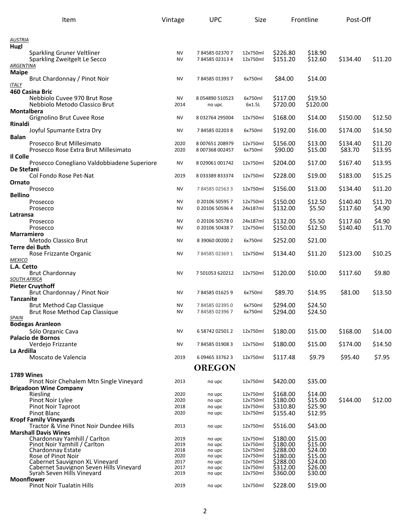| Item                                                        | Vintage      | <b>UPC</b>       | Size                 |                      | Frontline          | Post-Off |         |
|-------------------------------------------------------------|--------------|------------------|----------------------|----------------------|--------------------|----------|---------|
| AUSTRIA                                                     |              |                  |                      |                      |                    |          |         |
| Hugl                                                        |              |                  |                      |                      |                    |          |         |
| Sparkling Gruner Veltliner                                  | <b>NV</b>    | 784585023707     | 12x750ml             | \$226.80             | \$18.90            |          |         |
| Sparkling Zweitgelt Le Secco                                | <b>NV</b>    | 784585023134     | 12x750ml             | \$151.20             | \$12.60            | \$134.40 | \$11.20 |
| ARGENTINA                                                   |              |                  |                      |                      |                    |          |         |
| <b>Maipe</b><br>Brut Chardonnay / Pinot Noir                | NV           | 784585013937     | 6x750ml              | \$84.00              | \$14.00            |          |         |
| ITALY                                                       |              |                  |                      |                      |                    |          |         |
| 460 Casina Bric                                             |              |                  |                      |                      |                    |          |         |
| Nebbiolo Cuvee 970 Brut Rose                                | <b>NV</b>    | 8 054890 510523  | 6x750ml              | \$117.00             | \$19.50            |          |         |
| Nebbiolo Metodo Classico Brut                               | 2014         | no upc           | 6x1.5L               | \$720.00             | \$120.00           |          |         |
| <b>Montalbera</b><br>Grignolino Brut Cuvee Rose             | NV           | 8 032764 295004  | 12x750ml             | \$168.00             | \$14.00            | \$150.00 | \$12.50 |
| Rinaldi                                                     |              |                  |                      |                      |                    |          |         |
| Joyful Spumante Extra Dry                                   | NV           | 784585022038     | 6x750ml              | \$192.00             | \$16.00            | \$174.00 | \$14.50 |
| Balan                                                       |              |                  |                      |                      |                    |          |         |
| Prosecco Brut Millesimato                                   | 2020         | 8 007651 208979  | 12x750ml             | \$156.00             | \$13.00            | \$134.40 | \$11.20 |
| Prosecco Rose Extra Brut Millesimato<br>Il Colle            | 2020         | 8 007368 002457  | 6x750ml              | \$90.00              | \$15.00            | \$83.70  | \$13.95 |
| Prosecco Conegliano Valdobbiadene Superiore                 | NV           | 8 029061 001742  | 12x750ml             | \$204.00             | \$17.00            | \$167.40 | \$13.95 |
| De Stefani                                                  |              |                  |                      |                      |                    |          |         |
| Col Fondo Rose Pet-Nat                                      | 2019         | 8 033389 833374  | 12x750ml             | \$228.00             | \$19.00            | \$183.00 | \$15.25 |
| Ornato                                                      |              |                  |                      |                      |                    |          |         |
| Prosecco<br><b>Bellino</b>                                  | <b>NV</b>    | 784585025633     | 12x750ml             | \$156.00             | \$13.00            | \$134.40 | \$11.20 |
| Prosecco                                                    | NV           | 0 20106 50595 7  | 12x750ml             | \$150.00             | \$12.50            | \$140.40 | \$11.70 |
| Prosecco                                                    | NV           | 0 20106 50596 4  | 24x187ml             | \$132.00             | \$5.50             | \$117.60 | \$4.90  |
| Latransa                                                    |              |                  |                      |                      |                    |          |         |
| Prosecco                                                    | <b>NV</b>    | 0 20106 50578 0  | 24x187ml             | \$132.00             | \$5.50             | \$117.60 | \$4.90  |
| Prosecco<br>Marramiero                                      | <b>NV</b>    | 0 20106 50438 7  | 12x750ml             | \$150.00             | \$12.50            | \$140.40 | \$11.70 |
| Metodo Classico Brut                                        | NV           | 8 39060 00200 2  | 6x750ml              | \$252.00             | \$21.00            |          |         |
| Terre dei Buth                                              |              |                  |                      |                      |                    |          |         |
| Rose Frizzante Organic                                      | NV           | 784585023691     | 12x750ml             | \$134.40             | \$11.20            | \$123.00 | \$10.25 |
| <b>MEXICO</b>                                               |              |                  |                      |                      |                    |          |         |
| L.A. Cetto<br><b>Brut Chardonnay</b>                        | <b>NV</b>    | 7 501053 620212  | 12x750ml             | \$120.00             | \$10.00            | \$117.60 | \$9.80  |
| <b>SOUTH AFRICA</b>                                         |              |                  |                      |                      |                    |          |         |
| <b>Pieter Cruvthoff</b>                                     |              |                  |                      |                      |                    |          |         |
| Brut Chardonnay / Pinot Noir                                | NV           | 784585016259     | 6x750ml              | \$89.70              | \$14.95            | \$81.00  | \$13.50 |
| <b>Tanzanite</b><br><b>Brut Method Cap Classique</b>        | NV           | 784585023950     | 6x750ml              | \$294.00             | \$24.50            |          |         |
| Brut Rose Method Cap Classique                              | NV           | 784585023967     | 6x750ml              | \$294.00             | \$24.50            |          |         |
| <u>SPAIN</u>                                                |              |                  |                      |                      |                    |          |         |
| <b>Bodegas Aranleon</b>                                     |              |                  |                      |                      |                    |          |         |
| Sólo Organic Cava                                           | <b>NV</b>    | 6 58742 02501 2  | 12x750ml             | \$180.00             | \$15.00            | \$168.00 | \$14.00 |
| <b>Palacio de Bornos</b><br>Verdeio Frizzante               | NV           | 784585019083     | 12x750ml             | \$180.00             | \$15.00            | \$174.00 | \$14.50 |
| La Ardilla                                                  |              |                  |                      |                      |                    |          |         |
| Moscato de Valencia                                         | 2019         | 6 09465 33762 3  | 12x750ml             | \$117.48             | \$9.79             | \$95.40  | \$7.95  |
|                                                             |              | <b>OREGON</b>    |                      |                      |                    |          |         |
| 1789 Wines                                                  |              |                  |                      |                      |                    |          |         |
| Pinot Noir Chehalem Mtn Single Vineyard                     | 2013         | no upc           | 12x750ml             | \$420.00             | \$35.00            |          |         |
| <b>Brigadoon Wine Company</b>                               |              |                  |                      |                      |                    |          |         |
| Riesling<br>Pinot Noir Lylee                                | 2020<br>2020 | no upc<br>no upc | 12x750ml<br>12x750ml | \$168.00<br>\$180.00 | \$14.00<br>\$15.00 | \$144.00 | \$12.00 |
| <b>Pinot Noir Taproot</b>                                   | 2018         | no upc           | 12x750ml             | \$310.80             | \$25.90            |          |         |
| <b>Pinot Blanc</b>                                          | 2020         | no upc           | 12x750ml             | \$155.40             | \$12.95            |          |         |
| <b>Kropf Family Vineyards</b>                               |              |                  |                      |                      |                    |          |         |
| Tractor & Vine Pinot Noir Dundee Hills                      | 2013         | no upc           | 12x750ml             | \$516.00             | \$43.00            |          |         |
| <b>Marshall Davis Wines</b><br>Chardonnay Yamhill / Carlton | 2019         | no upc           | 12x750ml             | \$180.00             | \$15.00            |          |         |
| Pinot Noir Yamhill / Carlton                                | 2019         | no upc           | 12x750ml             | \$180.00             | \$15.00            |          |         |
| Chardonnay Estate                                           | 2018         | no upc           | 12x750ml             | \$288.00             | \$24.00            |          |         |
| Rose of Pinot Noir<br>Cabernet Sauvignon XL Vineyard        | 2020<br>2017 | no upc<br>no upc | 12x750ml<br>12x750ml | \$180.00<br>\$288.00 | \$15.00<br>\$24.00 |          |         |
| Cabernet Sauvignon Seven Hills Vinevard                     | 2017         | no upc           | 12x750ml             | \$312.00             | \$26.00            |          |         |
| Syrah Seven Hills Vineyard                                  | 2019         | no upc           | 12x750ml             | \$360.00             | \$30.00            |          |         |
| <b>Moonflower</b><br><b>Pinot Noir Tualatin Hills</b>       | 2019         | no upc           | 12x750ml             | \$228.00             | \$19.00            |          |         |
|                                                             |              |                  |                      |                      |                    |          |         |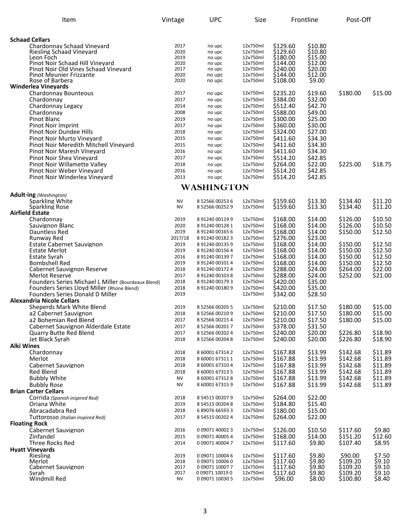| Item                                                                        | Vintage      | <b>UPC</b>                      | Size                 |                      | Frontline          | Post-Off             |                    |
|-----------------------------------------------------------------------------|--------------|---------------------------------|----------------------|----------------------|--------------------|----------------------|--------------------|
| <b>Schaad Cellars</b>                                                       |              |                                 |                      |                      |                    |                      |                    |
| Chardonnav Schaad Vinevard                                                  | 2017         | no upc                          | 12x750ml             | \$129.60             | \$10.80            |                      |                    |
| Riesling Schaad Vineyard                                                    | 2020         | no upc                          | 12x750ml             | \$129.60             | \$10.80            |                      |                    |
| Leon Foch                                                                   | 2019         | no upc                          | 12x750ml             | \$180.00             | \$15.00            |                      |                    |
| Pinot Noir Schaad Hill Vineyard                                             | 2020         | no upc                          | 12x750ml             | \$144.00             | \$12.00            |                      |                    |
| Pinot Noir Old Vines Schaad Vineyard<br><b>Pinot Meunier Frizzante</b>      | 2017<br>2020 | no upc                          | 12x750ml<br>12x750ml | \$240.00<br>\$144.00 | \$20.00<br>\$12.00 |                      |                    |
| Rose of Barbera                                                             | 2020         | no upc<br>no upc                | 12x750ml             | \$108.00             | \$9.00             |                      |                    |
| <b>Winderlea Vineyards</b>                                                  |              |                                 |                      |                      |                    |                      |                    |
| <b>Chardonnay Bounteous</b>                                                 | 2017         | no upc                          | 12x750ml             | \$235.20             | \$19.60            | \$180.00             | \$15.00            |
| Chardonnay                                                                  | 2017         | no upc                          | 12x750ml             | \$384.00             | \$32.00            |                      |                    |
| Chardonnay Legacy                                                           | 2014         | no upc                          | 12x750ml             | \$512.40             | \$42.70            |                      |                    |
| Chardonnay                                                                  | 2008         | no upc                          | 12x750ml             | \$588.00             | \$49.00            |                      |                    |
| Pinot Blanc                                                                 | 2019         | no upc                          | 12x750ml             | \$300.00             | \$25.00            |                      |                    |
| Pinot Noir Imprint                                                          | 2017         | no upc                          | 12x750ml             | \$360.00             | \$30.00            |                      |                    |
| Pinot Noir Dundee Hills                                                     | 2018         | no upc                          | 12x750ml             | \$324.00             | \$27.00            |                      |                    |
| Pinot Noir Murto Vineyard<br>Pinot Noir Meredith Mitchell Vineyard          | 2015<br>2015 | no upc                          | 12x750ml<br>12x750ml | \$411.60<br>\$411.60 | \$34.30<br>\$34.30 |                      |                    |
| Pinot Noir Maresh Vineyard                                                  | 2016         | no upc<br>no upc                | 12x750ml             | \$411.60             | \$34.30            |                      |                    |
| Pinot Noir Shea Vineyard                                                    | 2017         | no upc                          | 12x750ml             | \$514.20             | \$42.85            |                      |                    |
| Pinot Noir Willamette Valley                                                | 2018         | no upc                          | 12x750ml             | \$264.00             | \$22.00            | \$225.00             | \$18.75            |
| Pinot Noir Weber Vineyard                                                   | 2016         | no upc                          | 12x750ml             | \$514.20             | \$42.85            |                      |                    |
| Pinot Noir Winderlea Vineyard                                               | 2013         | no upc                          | 12x750ml             | \$514.20             | \$42.85            |                      |                    |
|                                                                             |              | WASHINGTON                      |                      |                      |                    |                      |                    |
| Adult-ing (Washington)                                                      |              |                                 |                      |                      |                    |                      |                    |
| Sparkling White                                                             | <b>NV</b>    | 8 52566 00253 6                 | 12x750ml             | \$159.60             | \$13.30            | \$134.40             | \$11.20            |
| <b>Sparkling Rose</b>                                                       | <b>NV</b>    | 8 52566 00252 9                 | 12x750ml             | \$159.60             | \$13.30            | \$134.40             | \$11.20            |
| <b>Airfield Estate</b>                                                      | 2019         | 8 91240 00119 9                 | 12x750ml             | \$168.00             | \$14.00            | \$126.00             | \$10.50            |
| Chardonnay<br>Sauvignon Blanc                                               | 2020         | 8 91240 00128 1                 | 12x750ml             | \$168.00             | \$14.00            | \$126.00             | \$10.50            |
| Dauntless Red                                                               | 2019         | 8 91240 00165 6                 | 12x750ml             | \$168.00             | \$14.00            | \$150.00             | \$12.50            |
| Runway Red                                                                  | 2017/18      | 8 91240 00182 3                 | 12x750ml             | \$276.00             | \$23.00            |                      |                    |
| <b>Estate Cabernet Sauvignon</b>                                            | 2019         | 8 91240 00135 9                 | 12x750ml             | \$168.00             | \$14.00            | \$150.00             | \$12.50            |
| <b>Estate Merlot</b>                                                        | 2019         | 8 91240 00156 4                 | 12x750ml             | \$168.00             | \$14.00            | \$150.00             | \$12.50            |
| <b>Estate Syrah</b>                                                         | 2016         | 8 91240 00139 7                 | 12x750ml             | \$168.00             | \$14.00            | \$150.00             | \$12.50            |
| <b>Bombshell Red</b>                                                        | 2019         | 8 91240 00101 4                 | 12x750ml             | \$168.00             | \$14.00            | \$150.00             | \$12.50            |
| Cabernet Sauvignon Reserve                                                  | 2018         | 8 91240 00172 4                 | 12x750ml             | \$288.00<br>\$288.00 | \$24.00            | \$264.00<br>\$252.00 | \$22.00            |
| Merlot Reserve<br><b>Founders Series Michael L Miller (Bourdeaux Blend)</b> | 2017<br>2018 | 891240001038<br>8 91240 00179 3 | 12x750ml<br>12x750ml | \$420.00             | \$24.00<br>\$35.00 |                      | \$21.00            |
| Founders Series Lloyd Miller (Rhone Blend)                                  | 2018         | 8 91240 00180 9                 | 12x750ml             | \$420.00             | \$35.00            |                      |                    |
| Founders Series Donald D Miller                                             | 2019         |                                 | 12x750ml             | \$342.00             | \$28.50            |                      |                    |
| <b>Alexandria Nicole Cellars</b>                                            |              |                                 |                      |                      |                    |                      |                    |
| Sheperds Mark White Blend                                                   | 2019         | 8 52566 00205 5                 | 12x750ml             | \$210.00             | \$17.50            | \$180.00             | \$15.00            |
| a2 Cabernet Sauvignon                                                       | 2018         | 8 52566 00210 9                 | 12x750ml             | \$210.00             | \$17.50            | \$180.00             | \$15.00            |
| a2 Bohemian Red Blend                                                       | 2017         | 8 52566 00215 4                 | 12x750ml             | \$210.00             | \$17.50            | \$180.00             | \$15.00            |
| Cabernet Sauvignon Alderdale Estate                                         | 2017         | 8 52566 002017                  | 12x750ml             | \$378.00             | \$31.50            |                      |                    |
| <b>Quarry Butte Red Blend</b>                                               | 2017         | 8 52566 00202 4                 | 12x750ml             | \$240.00             | \$20.00            | \$226.80             | \$18.90            |
| Jet Black Syrah                                                             | 2018         | 8 52566 00204 8                 | 12x750ml             | \$240.00             | \$20.00            | \$226.80             | \$18.90            |
| <b>Alki Wines</b>                                                           |              | 8 60001 67314 2                 |                      |                      |                    |                      |                    |
| Chardonnay<br>Merlot                                                        | 2018<br>2018 | 8 60001 67311 1                 | 12x750ml<br>12x750ml | \$167.88<br>\$167.88 | \$13.99<br>\$13.99 | \$142.68<br>\$142.68 | \$11.89<br>\$11.89 |
| Cabernet Sauvignon                                                          | 2018         | 8 60001 67310 4                 | 12x750ml             | \$167.88             | \$13.99            | \$142.68             | \$11.89            |
| Red Blend                                                                   | 2018         | 8 60001 67313 5                 | 12x750ml             | \$167.88             | \$13.99            | \$142.68             | \$11.89            |
| <b>Bubbly White</b>                                                         | <b>NV</b>    | 8 60001 67312 8                 | 12x750ml             | \$167.88             | \$13.99            | \$142.68             | \$11.89            |
| <b>Bubbly Rose</b>                                                          | <b>NV</b>    | 8 60001 67315 9                 | 12x750ml             | \$167.88             | \$13.99            | \$142.68             | \$11.89            |
| <b>Brian Carter Cellars</b>                                                 |              |                                 |                      |                      |                    |                      |                    |
| Corrida (Spanish inspired Red)                                              | 2018         | 8 54515 00207 9                 | 12x750ml             | \$264.00             | \$22.00            |                      |                    |
| Oriana White                                                                | 2019         | 8 54515 00204 8                 | 12x750ml             | \$184.80             | \$15.40            |                      |                    |
| Abracadabra Red                                                             | 2018         | 6 89076 66593 3                 | 12x750ml             | \$180.00             | \$15.00            |                      |                    |
| Tuttorosso (Italian inspired Red)                                           | 2017         | 8 54515 00202 4                 | 12x750ml             | \$264.00             | \$22.00            |                      |                    |
| <b>Floating Rock</b>                                                        |              |                                 |                      |                      |                    |                      |                    |
| Cabernet Sauvignon                                                          | 2016         | 0 09071 40002 3                 | 12x750ml             | \$126.00             | \$10.50            | \$117.60             | \$9.80             |
| Zinfandel                                                                   | 2015         | 0 09071 40005 4                 | 12x750ml             | \$168.00             | \$14.00            | \$151.20             | \$12.60            |
| Three Rocks Red                                                             | 2014         | 0 09071 40004 7                 | 12x750ml             | \$117.60             | \$9.80             | \$107.40             | \$8.95             |
| <b>Hyatt Vineyards</b><br>Riesling                                          | 2019         | 0 09071 10004 6                 | 12x750ml             | \$117.60             | \$9.80             | \$90.00              | \$7.50             |
| Merlot                                                                      | 2018         | 0 09071 10006 0                 | 12x750ml             | \$117.60             | \$9.80             | \$109.20             | \$9.10             |
| Cabernet Sauvignon                                                          | 2017         | 0 09071 10007 7                 | 12x750ml             | \$117.60             | \$9.80             | \$109.20             | \$9.10             |
| Syrah                                                                       | 2017         | 0 09071 10019 0                 | 12x750ml             | \$117.60             | \$9.80             | \$109.20             | \$9.10             |
| Windmill Red                                                                | NV           | 0 09071 10030 5                 | 12x750ml             | \$96.00              | \$8.00             | \$100.80             | \$8.40             |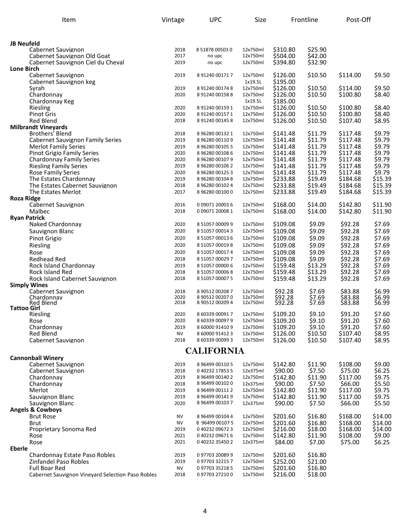| Item                                                             | Vintage           | <b>UPC</b>                         | Size                 |                      | Frontline          | Post-Off             |                    |
|------------------------------------------------------------------|-------------------|------------------------------------|----------------------|----------------------|--------------------|----------------------|--------------------|
|                                                                  |                   |                                    |                      |                      |                    |                      |                    |
| <b>JB Neufeld</b>                                                |                   |                                    |                      |                      |                    |                      |                    |
| Cabernet Sauvignon                                               | 2018              | 8 51878 00503 0                    | 12x750ml             | \$310.80             | \$25.90            |                      |                    |
| Cabernet Sauvignon Old Goat                                      | 2017              | no upc                             | 12x750ml             | \$504.00             | \$42.00            |                      |                    |
| Cabernet Sauvignon Ciel du Cheval                                | 2019              | no upc                             | 12x750ml             | \$394.80             | \$32.90            |                      |                    |
| <b>Lone Birch</b>                                                |                   |                                    |                      |                      |                    |                      |                    |
| Cabernet Sauvignon                                               | 2019              | 8 91240 00171 7                    | 12x750ml             | \$126.00             | \$10.50            | \$114.00             | \$9.50             |
| Cabernet Sauvignon keg<br>Syrah                                  | 2019              | 8 91240 00174 8                    | 1x19.5L<br>12x750ml  | \$195.00<br>\$126.00 | \$10.50            | \$114.00             | \$9.50             |
| Chardonnay                                                       | 2020              | 8 91240 00158 8                    | 12x750ml             | \$126.00             | \$10.50            | \$100.80             | \$8.40             |
| Chardonnay Keg                                                   |                   |                                    | 1x19.5L              | \$185.00             |                    |                      |                    |
| Riesling                                                         | 2020              | 8 91240 00159 1                    | 12x750ml             | \$126.00             | \$10.50            | \$100.80             | \$8.40             |
| <b>Pinot Gris</b>                                                | 2020              | 8 91240 00157 1                    | 12x750ml             | \$126.00             | \$10.50            | \$100.80             | \$8.40             |
| <b>Red Blend</b>                                                 | 2018              | 8 91240 00145 8                    | 12x750ml             | \$126.00             | \$10.50            | \$107.40             | \$8.95             |
| <b>Milbrandt Vineyards</b>                                       |                   |                                    |                      |                      |                    |                      |                    |
| Brothers' Blend                                                  | 2018              | 8 96280 00132 1                    | 12x750ml             | \$141.48             | \$11.79            | \$117.48             | \$9.79             |
| <b>Cabernet Sauvignon Family Series</b>                          | 2019              | 8 96280 00110 9                    | 12x750ml             | \$141.48             | \$11.79            | \$117.48             | \$9.79             |
| <b>Merlot Family Series</b>                                      | 2019              | 8 96280 00105 5                    | 12x750ml             | \$141.48             | \$11.79            | \$117.48             | \$9.79             |
| <b>Pinot Grigio Family Series</b>                                | 2020<br>2020      | 8 96280 00108 6                    | 12x750ml             | \$141.48             | \$11.79<br>\$11.79 | \$117.48             | \$9.79<br>\$9.79   |
| <b>Chardonnay Family Series</b><br><b>Riesling Family Series</b> | 2019              | 8 96280 00107 9<br>8 96280 00106 2 | 12x750ml<br>12x750ml | \$141.48<br>\$141.48 | \$11.79            | \$117.48<br>\$117.48 | \$9.79             |
| <b>Rose Family Series</b>                                        | 2020              | 8 96280 00125 3                    | 12x750ml             | \$141.48             | \$11.79            | \$117.48             | \$9.79             |
| The Estates Chardonnay                                           | 2019              | 8 96280 001048                     | 12x750ml             | \$233.88             | \$19.49            | \$184.68             | \$15.39            |
| The Estates Cabernet Sauvignon                                   | 2018              | 8 96280 00102 4                    | 12x750ml             | \$233.88             | \$19.49            | \$184.68             | \$15.39            |
| The Estates Merlot                                               | 2017              | 8 96280 00100 0                    | 12x750ml             | \$233.88             | \$19.49            | \$184.68             | \$15.39            |
| <b>Roza Ridge</b>                                                |                   |                                    |                      |                      |                    |                      |                    |
| Cabernet Sauvignon                                               | 2016              | 0 09071 20003 6                    | 12x750ml             | \$168.00             | \$14.00            | \$142.80             | \$11.90            |
| Malbec                                                           | 2018              | 0 09071 20008 1                    | 12x750ml             | \$168.00             | \$14.00            | \$142.80             | \$11.90            |
| <b>Ryan Patrick</b>                                              |                   |                                    |                      |                      |                    |                      |                    |
| Naked Chardonnay                                                 | 2020              | 8 51057 00009 9                    | 12x750ml             | \$109.08             | \$9.09             | \$92.28              | \$7.69             |
| Sauvignon Blanc                                                  | 2020              | 8 51057 00014 3                    | 12x750ml             | \$109.08             | \$9.09             | \$92.28              | \$7.69             |
| Pinot Grigio                                                     | 2020              | 8 51057 00013 6                    | 12x750ml             | \$109.08             | \$9.09             | \$92.28              | \$7.69             |
| Riesling                                                         | 2020              | 8 51057 000198                     | 12x750ml             | \$109.08             | \$9.09             | \$92.28              | \$7.69             |
| Rose                                                             | 2020              | 8 51057 00017 4                    | 12x750ml             | \$109.08             | \$9.09             | \$92.28              | \$7.69             |
| <b>Redhead Red</b>                                               | 2018<br>2019      | 8 51057 00029 7                    | 12x750ml<br>12x750ml | \$109.08<br>\$159.48 | \$9.09<br>\$13.29  | \$92.28<br>\$92.28   | \$7.69<br>\$7.69   |
| Rock Island Chardonnay<br>Rock Island Red                        | 2018              | 8 51057 00000 6<br>8 51057 000068  | 12x750ml             | \$159.48             | \$13.29            | \$92.28              | \$7.69             |
| Rock Island Cabernet Sauvignon                                   | 2018              | 8 51057 00007 5                    | 12x750ml             | \$159.48             | \$13.29            | \$92.28              | \$7.69             |
| <b>Simply Wines</b>                                              |                   |                                    |                      |                      |                    |                      |                    |
| Cabernet Sauvignon                                               | 2018              | 8 90512 00208 7                    | 12x750ml             | \$92.28              | \$7.69             | \$83.88              | \$6.99             |
| Chardonnay                                                       | 2020              | 8 90512 00207 0                    | 12x750ml             | \$92.28<br>\$92.28   | \$7.69             | \$83.88<br>\$83.88   | \$6.99<br>\$6.99   |
| <b>Red Blend</b><br><b>Tattoo Girl</b>                           | 2018              | 8 90512 00209 4                    | 12x750ml             |                      | \$7.69             |                      |                    |
| Riesling                                                         | 2020              | 8 60339 000917                     | 12x750ml             | \$109.20             | \$9.10             | \$91.20              | \$7.60             |
| Rose                                                             | 2020              | 8 60339 00097 9                    | 12x750ml             | \$109.20             | \$9.10             | \$91.20              | \$7.60             |
| Chardonnay                                                       | 2019              | 8 60000 91410 9                    | 12x750ml             | \$109.20             | \$9.10             | \$91.20              | \$7.60             |
| <b>Red Blend</b>                                                 | NV                | 8 60000 91412 3                    | 12x750ml             | \$126.00             | \$10.50            | \$107.40             | \$8.95             |
| Cabernet Sauvignon                                               | 2018              | 8 60339 00099 3                    | 12x750ml             | \$126.00             | \$10.50            | \$107.40             | \$8.95             |
|                                                                  |                   | <b>CALIFORNIA</b>                  |                      |                      |                    |                      |                    |
| <b>Cannonball Winery</b>                                         |                   |                                    |                      |                      |                    |                      |                    |
| Cabernet Sauvignon                                               | 2019              | 8 96499 00110 5                    | 12x750ml             | \$142.80             | \$11.90            | \$108.00             | \$9.00             |
| Cabernet Sauvignon                                               | 2018              | 0 40232 17853 5                    | 12x375ml             | \$90.00              | \$7.50             | \$75.00              | \$6.25             |
| Chardonnay                                                       | 2019              | 8 96499 00140 2                    | 12x750ml             | \$142.80             | \$11.90            | \$117.00             | \$9.75             |
| Chardonnay                                                       | 2018              | 8 96499 00102 0                    | 12x375ml             | \$90.00              | \$7.50             | \$66.00              | \$5.50             |
| Merlot                                                           | 2019              | 8 96499 00111 2                    | 12x750ml             | \$142.80             | \$11.90            | \$117.00             | \$9.75             |
| Sauvignon Blanc                                                  | 2019              | 8 96499 00141 9                    | 12x750ml             | \$142.80             | \$11.90            | \$117.00             | \$9.75             |
| Sauvignon Blanc                                                  | 2020              | 8 96499 00103 7                    | 12x375ml             | \$90.00              | \$7.50             | \$66.00              | \$5.50             |
| <b>Angels &amp; Cowboys</b>                                      |                   |                                    |                      |                      |                    |                      |                    |
| <b>Brut Rose</b>                                                 | ΝV                | 8 96499 00104 4                    | 12x750ml             | \$201.60             | \$16.80            | \$168.00             | \$14.00            |
| Brut<br>Proprietary Sonoma Red                                   | <b>NV</b><br>2019 | 8 96499 00107 5                    | 12x750ml<br>12x750ml | \$201.60<br>\$216.00 | \$16.80            | \$168.00             | \$14.00<br>\$14.00 |
| Rose                                                             | 2021              | 0 40232 09672 3<br>0 40232 09671 6 | 12x750ml             | \$142.80             | \$18.00<br>\$11.90 | \$168.00<br>\$108.00 | \$9.00             |
| Rose                                                             | 2021              | 0 40232 35450 2                    | 12x375ml             | \$84.00              | \$7.00             | \$75.00              | \$6.25             |
| <b>Eberle</b>                                                    |                   |                                    |                      |                      |                    |                      |                    |
| Chardonnay Estate Paso Robles                                    | 2019              | 097703200899                       | 12x750ml             | \$201.60             | \$16.80            |                      |                    |
| Zinfandel Paso Robles                                            | 2019              | 097703322157                       | 12x750ml             | \$252.00             | \$21.00            |                      |                    |
| <b>Full Boar Red</b>                                             | NV                | 097703352185                       | 12x750ml             | \$201.60             | \$16.80            |                      |                    |
| Cabernet Sauvignon Vineyard Selection Paso Robles                | 2018              | 097703272100                       | 12x750ml             | \$216.00             | \$18.00            |                      |                    |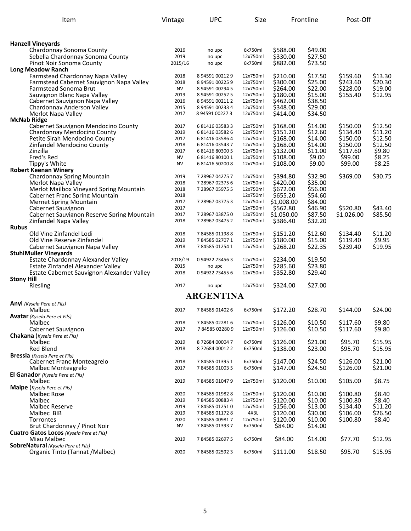| Item                                                 | Vintage      | <b>UPC</b>                         | Size                 |                      | Frontline          | Post-Off             |                   |
|------------------------------------------------------|--------------|------------------------------------|----------------------|----------------------|--------------------|----------------------|-------------------|
|                                                      |              |                                    |                      |                      |                    |                      |                   |
| <b>Hanzell Vineyards</b>                             |              |                                    |                      |                      |                    |                      |                   |
| Chardonnay Sonoma County                             | 2016         | no upc                             | 6x750ml              | \$588.00             | \$49.00            |                      |                   |
| Sebella Chardonnay Sonoma County                     | 2019         | no upc                             | 12x750ml             | \$330.00<br>\$882.00 | \$27.50<br>\$73.50 |                      |                   |
| Pinot Noir Sonoma County<br><b>Long Meadow Ranch</b> | 2015/16      | no upc                             | 6x750ml              |                      |                    |                      |                   |
| Farmstead Chardonnay Napa Valley                     | 2018         | 8 94591 00212 9                    | 12x750ml             | \$210.00             | \$17.50            | \$159.60             | \$13.30           |
| Farmstead Cabernet Sauvignon Napa Valley             | 2018         | 8 94591 00225 9                    | 12x750ml             | \$300.00             | \$25.00            | \$243.60             | \$20.30           |
| Farmstead Sonoma Brut                                | <b>NV</b>    | 8 94591 00294 5                    | 12x750ml             | \$264.00             | \$22.00            | \$228.00             | \$19.00           |
| Sauvignon Blanc Napa Valley                          | 2019         | 8 94591 00252 5                    | 12x750ml             | \$180.00             | \$15.00            | \$155.40             | \$12.95           |
| Cabernet Sauvignon Napa Valley                       | 2016         | 8 94591 00211 2                    | 12x750ml             | \$462.00             | \$38.50            |                      |                   |
| Chardonnay Anderson Valley                           | 2015         | 8 94591 00233 4                    | 12x750ml             | \$348.00             | \$29.00            |                      |                   |
| Merlot Napa Valley                                   | 2017         | 8 94591 00227 3                    | 12x750ml             | \$414.00             | \$34.50            |                      |                   |
| <b>McNab Ridge</b>                                   |              |                                    |                      |                      |                    |                      |                   |
| Cabernet Sauvignon Mendocino County                  | 2017         | 6 81416 03583 3                    | 12x750ml             | \$168.00             | \$14.00            | \$150.00             | \$12.50           |
| Chardonnay Mendocino County                          | 2019         | 6 81416 03582 6                    | 12x750ml             | \$151.20             | \$12.60            | \$134.40             | \$11.20           |
| Petite Sirah Mendocino County                        | 2017         | 6 81416 03586 4                    | 12x750ml             | \$168.00             | \$14.00            | \$150.00             | \$12.50           |
| Zinfandel Mendocino County<br>Zinzilla               | 2018<br>2017 | 6 81416 03543 7                    | 12x750ml             | \$168.00             | \$14.00<br>\$11.00 | \$150.00<br>\$117.60 | \$12.50<br>\$9.80 |
| Fred's Red                                           | <b>NV</b>    | 6 81416 80300 5<br>6 81416 80100 1 | 12x750ml<br>12x750ml | \$132.00<br>\$108.00 | \$9.00             | \$99.00              | \$8.25            |
| Tippy's White                                        | <b>NV</b>    | 6 81416 50200 8                    | 12x750ml             | \$108.00             | \$9.00             | \$99.00              | \$8.25            |
| <b>Robert Keenan Winery</b>                          |              |                                    |                      |                      |                    |                      |                   |
| Chardonnay Spring Mountain                           | 2019         | 7 28967 04275 7                    | 12x750ml             | \$394.80             | \$32.90            | \$369.00             | \$30.75           |
| Merlot Napa Valley                                   | 2018         | 7 28967 02375 6                    | 12x750ml             | \$420.00             | \$35.00            |                      |                   |
| Merlot Mailbox Vineyard Spring Mountain              | 2018         | 7 28967 05975 5                    | 12x750ml             | \$672.00             | \$56.00            |                      |                   |
| <b>Cabernet Franc Spring Mountain</b>                | 2018         |                                    | 12x750ml             | \$655.20             | \$54.60            |                      |                   |
| <b>Mernet Spring Mountain</b>                        | 2017         | 7 28967 03775 3                    | 12x750ml             | \$1,008.00           | \$84.00            |                      |                   |
| Cabernet Sauvignon                                   | 2017         |                                    | 12x750ml             | \$562.80             | \$46.90            | \$520.80             | \$43.40           |
| Cabernet Sauvignon Reserve Spring Mountain           | 2017         | 7 28967 03875 0                    | 12x750ml             | \$1,050.00           | \$87.50            | \$1,026.00           | \$85.50           |
| Zinfandel Napa Valley                                | 2018         | 7 28967 03475 2                    | 12x750ml             | \$386.40             | \$32.20            |                      |                   |
| <b>Rubus</b>                                         |              |                                    |                      |                      |                    |                      |                   |
| Old Vine Zinfandel Lodi                              | 2018         | 784585011988                       | 12x750ml             | \$151.20             | \$12.60            | \$134.40             | \$11.20           |
| Old Vine Reserve Zinfandel                           | 2019         | 784585027071                       | 12x750ml             | \$180.00             | \$15.00            | \$119.40             | \$9.95            |
| Cabernet Sauvignon Napa Valley                       | 2018         | 784585012541                       | 12x750ml             | \$268.20             | \$22.35            | \$239.40             | \$19.95           |
| <b>StuhlMuller Vineyards</b>                         |              |                                    |                      |                      |                    |                      |                   |
| Estate Chardonnay Alexander Valley                   | 2018/19      | 094922734563                       | 12x750ml             | \$234.00             | \$19.50            |                      |                   |
| Estate Zinfandel Alexander Valley                    | 2015         | no upc                             | 12x750ml             | \$285.60             | \$23.80            |                      |                   |
| Estate Cabernet Sauvignon Alexander Valley           | 2018         | 0 94922 73455 6                    | 12x750ml             | \$352.80             | \$29.40            |                      |                   |
| <b>Stony Hill</b><br>Riesling                        | 2017         | no upc                             | 12x750ml             | \$324.00             | \$27.00            |                      |                   |
|                                                      |              |                                    |                      |                      |                    |                      |                   |
|                                                      |              | <b>ARGENTINA</b>                   |                      |                      |                    |                      |                   |
| <b>Anyi</b> (Kysela Pere et Fils)                    |              |                                    |                      |                      |                    |                      |                   |
| Malbec                                               | 2017         | 784585014026                       | 6x750ml              | \$172.20             | \$28.70            | \$144.00             | \$24.00           |
| <b>Avatar</b> (Kysela Pere et Fils)                  |              |                                    |                      |                      | \$10.50            |                      |                   |
| Malbec<br>Cabernet Sauvignon                         | 2018<br>2017 | 784585022816<br>784585022809       | 12x750ml<br>12x750ml | \$126.00<br>\$126.00 | \$10.50            | \$117.60<br>\$117.60 | \$9.80<br>\$9.80  |
| Chakana (Kysela Pere et Fils)                        |              |                                    |                      |                      |                    |                      |                   |
| Malbec                                               | 2019         | 872684000047                       | 6x750ml              | \$126.00             | \$21.00            | \$95.70              | \$15.95           |
| <b>Red Blend</b>                                     | 2018         | 872684000122                       | 6x750ml              | \$138.00             | \$23.00            | \$95.70              | \$15.95           |
| <b>Bressia</b> (Kysela Pere et Fils)                 |              |                                    |                      |                      |                    |                      |                   |
| Cabernet Franc Monteagrelo                           | 2018         | 784585013951                       | 6x750ml              | \$147.00             | \$24.50            | \$126.00             | \$21.00           |
| Malbec Monteagrelo                                   | 2017         | 784585010035                       | 6x750ml              | \$147.00             | \$24.50            | \$126.00             | \$21.00           |
| El Ganador (Kysela Pere et Fils)                     |              |                                    |                      |                      |                    |                      |                   |
| Malbec                                               | 2019         | 784585010479                       | 12x750ml             | \$120.00             | \$10.00            | \$105.00             | \$8.75            |
| <b>Maipe</b> ( <i>Kysela Pere et Fils</i> )          |              |                                    |                      |                      |                    |                      |                   |
| Malbec Rose                                          | 2020         | 784585019828                       | 12x750ml             | \$120.00             | \$10.00            | \$100.80             | \$8.40            |
| Malbec                                               | 2019         | 784585008834                       | 12x750ml             | \$120.00             | \$10.00            | \$100.80             | \$8.40            |
| Malbec Reserve                                       | 2019         | 784585012510                       | 12x750ml             | \$156.00             | \$13.00            | \$134.40             | \$11.20           |
| Malbec BIB                                           | 2019         | 784585011728                       | 4X3L                 | \$120.00             | \$30.00            | \$106.00             | \$26.50           |
| Torrontes                                            | 2020         | 784585009817                       | 12x750ml             | \$120.00             | \$10.00            | \$100.80             | \$8.40            |
| Brut Chardonnay / Pinot Noir                         | <b>NV</b>    | 784585013937                       | 6x750ml              | \$84.00              | \$14.00            |                      |                   |
| Cuatro Gatos Locos (Kysela Pere et Fils)             |              |                                    |                      |                      |                    |                      |                   |
| Miau Malbec                                          | 2019         | 784585026975                       | 6x750ml              | \$84.00              | \$14.00            | \$77.70              | \$12.95           |
| <b>SobreNatural</b> (Kysela Pere et Fils)            |              |                                    |                      |                      |                    |                      |                   |
| Organic Tinto (Tannat /Malbec)                       | 2020         | 784585025923                       | 6x750ml              | \$111.00             | \$18.50            | \$95.70              | \$15.95           |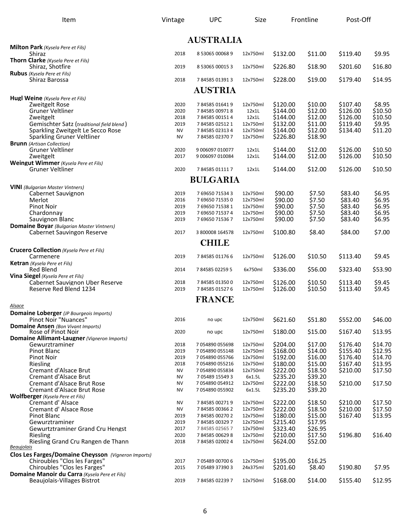| Item                                                                          | Vintage         | <b>UPC</b>                         | Size                 |                      | Frontline          | Post-Off             |                    |
|-------------------------------------------------------------------------------|-----------------|------------------------------------|----------------------|----------------------|--------------------|----------------------|--------------------|
|                                                                               |                 | <b>AUSTRALIA</b>                   |                      |                      |                    |                      |                    |
| Milton Park (Kysela Pere et Fils)                                             |                 |                                    |                      |                      |                    |                      |                    |
| Shiraz<br>Thorn Clarke (Kysela Pere et Fils)                                  | 2018            | 8 53065 00068 9                    | 12x750ml             | \$132.00             | \$11.00            | \$119.40             | \$9.95             |
| Shiraz, Shotfire                                                              | 2019            | 8 53065 00015 3                    | 12x750ml             | \$226.80             | \$18.90            | \$201.60             | \$16.80            |
| <b>Rubus</b> (Kysela Pere et Fils)                                            |                 |                                    |                      |                      |                    |                      |                    |
| Shiraz Barossa                                                                | 2018            | 784585013913                       | 12x750ml             | \$228.00             | \$19.00            | \$179.40             | \$14.95            |
|                                                                               |                 | <b>AUSTRIA</b>                     |                      |                      |                    |                      |                    |
| Hugl Weine (Kysela Pere et Fils)                                              |                 |                                    |                      |                      |                    |                      |                    |
| Zweitgelt Rose<br>Gruner Veltliner                                            | 2020<br>2020    | 784585016419<br>784585009718       | 12x750ml<br>12x1L    | \$120.00<br>\$144.00 | \$10.00<br>\$12.00 | \$107.40<br>\$126.00 | \$8.95<br>\$10.50  |
| Zweitgelt                                                                     | 2018            | 784585001514                       | 12x1L                | \$144.00             | \$12.00            | \$126.00             | \$10.50            |
| Gemischter Satz (traditional field blend)                                     | 2019            | 784585025121                       | 12x750ml             | \$132.00             | \$11.00            | \$119.40             | \$9.95             |
| Sparkling Zweitgelt Le Secco Rose                                             | <b>NV</b>       | 784585023134                       | 12x750ml             | \$144.00             | \$12.00            | \$134.40             | \$11.20            |
| Sparkling Gruner Veltliner                                                    | <b>NV</b>       | 784585023707                       | 12x750ml             | \$226.80             | \$18.90            |                      |                    |
| <b>Brunn</b> (Artisan Collection)                                             |                 |                                    |                      |                      |                    |                      |                    |
| Gruner Veltliner                                                              | 2020<br>2017    | 9 006097 010077                    | 12x1L<br>12x1L       | \$144.00<br>\$144.00 | \$12.00<br>\$12.00 | \$126.00<br>\$126.00 | \$10.50<br>\$10.50 |
| Zweitgelt<br>Weingut Wimmer (Kysela Pere et Fils)                             |                 | 9 006097 010084                    |                      |                      |                    |                      |                    |
| <b>Gruner Veltliner</b>                                                       | 2020            | 784585011117                       | 12x1L                | \$144.00             | \$12.00            | \$126.00             | \$10.50            |
|                                                                               |                 | <b>BULGARIA</b>                    |                      |                      |                    |                      |                    |
| <b>VINI</b> (Bulgarian Master Vintners)                                       |                 |                                    |                      |                      |                    |                      |                    |
| Cabernet Sauvignon                                                            | 2019            | 7 69650 71534 3                    | 12x750ml             | \$90.00              | \$7.50             | \$83.40              | \$6.95             |
| Merlot                                                                        | 2016            | 769650715350                       | 12x750ml             | \$90.00              | \$7.50             | \$83.40              | \$6.95             |
| <b>Pinot Noir</b><br>Chardonnay                                               | 2019<br>2019    | 7 69650 71538 1<br>7 69650 71537 4 | 12x750ml<br>12x750ml | \$90.00<br>\$90.00   | \$7.50<br>\$7.50   | \$83.40<br>\$83.40   | \$6.95<br>\$6.95   |
| Sauvignon Blanc                                                               | 2019            | 769650715367                       | 12x750ml             | \$90.00              | \$7.50             | \$83.40              | \$6.95             |
| <b>Domaine Boyar</b> (Bulgarian Master Vintners)                              |                 |                                    |                      |                      |                    |                      |                    |
| Cabernet Sauvingon Reserve                                                    | 2017            | 3 800008 164578                    | 12x750ml             | \$100.80             | \$8.40             | \$84.00              | \$7.00             |
|                                                                               |                 | <b>CHILE</b>                       |                      |                      |                    |                      |                    |
| <b>Crucero Collection</b> (Kysela Pere et Fils)                               |                 |                                    |                      |                      |                    |                      |                    |
| Carmenere                                                                     | 2019            | 784585011766                       | 12x750ml             | \$126.00             | \$10.50            | \$113.40             | \$9.45             |
| <b>Ketran</b> (Kysela Pere et Fils)                                           |                 |                                    |                      |                      |                    |                      |                    |
| <b>Red Blend</b>                                                              | 2014            | 784585022595                       | 6x750ml              | \$336.00             | \$56.00            | \$323.40             | \$53.90            |
| Vina Siegel (Kysela Pere et Fils)<br>Cabernet Sauvignon Uber Reserve          | 2018            | 784585013500                       | 12x750ml             | \$126.00             | \$10.50            | \$113.40             | \$9.45             |
| Reserve Red Blend 1234                                                        | 2019            | 784585015276                       | 12x750ml             | \$126.00             | \$10.50            | \$113.40             | \$9.45             |
|                                                                               |                 | <b>FRANCE</b>                      |                      |                      |                    |                      |                    |
| Alsace                                                                        |                 |                                    |                      |                      |                    |                      |                    |
| <b>Domaine Loberger</b> (JP Bourgeois Imports)                                |                 |                                    |                      |                      |                    |                      |                    |
| Pinot Noir "Nuances"                                                          | 2016            | no upc                             | 12x750ml             | \$621.60             | \$51.80            | \$552.00             | \$46.00            |
| <b>Domaine Ansen</b> (Bon Vivant Imports)                                     |                 |                                    |                      |                      |                    |                      |                    |
| Rose of Pinot Noir<br>Domaine Allimant-Laugner (Vigneron Imports)             | 2020            | no upc                             | 12x750ml             | \$180.00             | \$15.00            | \$167.40             | \$13.95            |
| Gewurztraminer                                                                | 2018            | 7 054890 055698                    | 12x750ml             | \$204.00             | \$17.00            | \$176.40             | \$14.70            |
| Pinot Blanc                                                                   | 2019            | 7 054890 055148                    | 12x750ml             | \$168.00             | \$14.00            | \$155.40             | \$12.95            |
| Pinot Noir                                                                    | 2019            | 7 054890 055766                    | 12x750ml             | \$192.00             | \$16.00            | \$176.40             | \$14.70            |
| Riesling                                                                      | 2018            | 7 054890 055216                    | 12x750ml             | \$180.00             | \$15.00            | \$167.40             | \$13.95            |
| Cremant d'Alsace Brut                                                         | NV              | 7 054890 055834                    | 12x750ml             | \$222.00             | \$18.50            | \$210.00             | \$17.50            |
| Cremant d'Alsace Brut<br>Cremant d'Alsace Brut Rose                           | NV<br><b>NV</b> | 7 05489 15549 3<br>7 054890 054912 | 6x1.5L<br>12x750ml   | \$235.20<br>\$222.00 | \$39.20<br>\$18.50 | \$210.00             | \$17.50            |
| Cremant d'Alsace Brut Rose                                                    | <b>NV</b>       | 7 054890 055902                    | 6x1.5L               | \$235.20             | \$39.20            |                      |                    |
| <b>Wolfberger</b> (Kysela Pere et Fils)                                       |                 |                                    |                      |                      |                    |                      |                    |
| Cremant d'Alsace                                                              | NV              | 784585002719                       | 12x750ml             | \$222.00             | \$18.50            | \$210.00             | \$17.50            |
| Cremant d'Alsace Rose                                                         | NV              | 784585003662                       | 12x750ml             | \$222.00             | \$18.50            | \$210.00             | \$17.50            |
| Pinot Blanc                                                                   | 2019            | 784585002702                       | 12x750ml             | \$180.00             | \$15.00            | \$167.40             | \$13.95            |
| Gewurztraminer<br>Gewurtztraminer Grand Cru Hengst                            | 2019<br>2017    | 784585003297<br>784585025657       | 12x750ml<br>12x750ml | \$215.40<br>\$323.40 | \$17.95<br>\$26.95 |                      |                    |
| Riesling                                                                      | 2020            | 784585006298                       | 12x750ml             | \$210.00             | \$17.50            | \$196.80             | \$16.40            |
| Riesling Grand Cru Rangen de Thann                                            | 2018            | 784585020024                       | 12x750ml             | \$624.00             | \$52.00            |                      |                    |
| <b>Beaujolais</b>                                                             |                 |                                    |                      |                      |                    |                      |                    |
| Clos Les Farges/Domaine Cheysson (Vigneron Imports)                           |                 |                                    |                      |                      |                    |                      |                    |
| Chiroubles "Clos les Farges"                                                  | 2017            | 7 05489 00700 6                    | 12x750ml             | \$195.00             | \$16.25            |                      |                    |
| Chiroubles "Clos les Farges"<br>Domaine Manoir du Carra (Kysela Pere et Fils) | 2015            | 7 05489 37390 3                    | 24x375ml             | \$201.60             | \$8.40             | \$190.80             | \$7.95             |
| Beaujolais-Villages Bistrot                                                   | 2019            | 784585022397                       | 12x750ml             | \$168.00             | \$14.00            | \$155.40             | \$12.95            |
|                                                                               |                 |                                    |                      |                      |                    |                      |                    |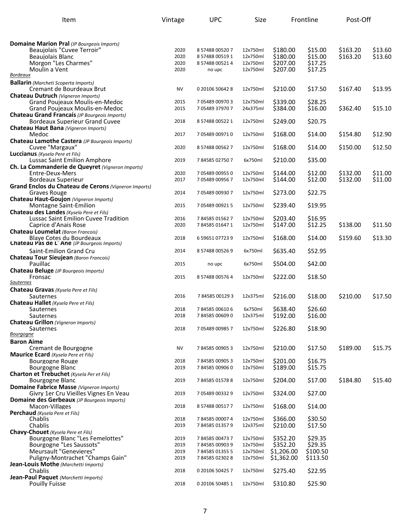| Item                                                                                    | Vintage      | <b>UPC</b>                   | Size                 |                      | Frontline          | Post-Off |         |
|-----------------------------------------------------------------------------------------|--------------|------------------------------|----------------------|----------------------|--------------------|----------|---------|
|                                                                                         |              |                              |                      |                      |                    |          |         |
| <b>Domaine Marion Pral</b> (JP Bourgeois Imports)                                       |              |                              |                      |                      |                    |          |         |
| Beaujolais "Cuvee Terroir"                                                              | 2020         | 8 57488 00520 7              | 12x750ml             | \$180.00             | \$15.00            | \$163.20 | \$13.60 |
| Beaujolais Blanc                                                                        | 2020         | 8 57488 00519 1              | 12x750ml             | \$180.00             | \$15.00            | \$163.20 | \$13.60 |
| Morgon "Les Charmes"                                                                    | 2020         | 8 57488 00521 4              | 12x750ml             | \$207.00             | \$17.25            |          |         |
| Moulin a Vent<br>Bordeaux                                                               | 2020         | no upc                       | 12x750ml             | \$207.00             | \$17.25            |          |         |
| <b>Ballarin</b> (Marcheti Scoperta Imports)                                             |              |                              |                      |                      |                    |          |         |
| Cremant de Bourdeaux Brut                                                               | <b>NV</b>    | 0 20106 50642 8              | 12x750ml             | \$210.00             | \$17.50            | \$167.40 | \$13.95 |
| Chateau Dutruch (Vigneron Imports)                                                      |              |                              |                      |                      |                    |          |         |
| Grand Poujeaux Moulis-en-Medoc                                                          | 2015         | 705489009703                 | 12x750ml             | \$339.00             | \$28.25            |          |         |
| Grand Poujeaux Moulis-en-Medoc<br><b>Chateau Grand Francais (JP Bourgeois Imports)</b>  | 2015         | 705489379707                 | 24x375ml             | \$384.00             | \$16.00            | \$362.40 | \$15.10 |
| <b>Bordeaux Superieur Grand Cuvee</b>                                                   | 2018         | 8 57488 00522 1              | 12x750ml             | \$249.00             | \$20.75            |          |         |
| Chateau Haut Bana (Vigneron Imports)                                                    |              |                              |                      |                      |                    |          |         |
| Medoc                                                                                   | 2017         | 7 05489 00971 0              | 12x750ml             | \$168.00             | \$14.00            | \$154.80 | \$12.90 |
| Chateau Lamothe Castera (JP Bourgeois Imports)                                          |              |                              |                      |                      |                    |          |         |
| Cuvee "Margaux"<br><b>Luccianus</b> (Kysela Pere et Fils)                               | 2020         | 8 57488 00562 7              | 12x750ml             | \$168.00             | \$14.00            | \$150.00 | \$12.50 |
| <b>Lussac Saint Emilion Amphore</b>                                                     | 2019         | 784585027507                 | 6x750ml              | \$210.00             | \$35.00            |          |         |
| Ch. La Commanderie de Queyret (Vigneron Imports)                                        |              |                              |                      |                      |                    |          |         |
| Entre-Deux-Mers                                                                         | 2020         | 7 05489 00955 0              | 12x750ml             | \$144.00             | \$12.00            | \$132.00 | \$11.00 |
| <b>Bordeaux Superieur</b><br>Grand Enclos du Chateau de Cerons (Vigneron Imports)       | 2017         | 7 05489 00956 7              | 12x750ml             | \$144.00             | \$12.00            | \$132.00 | \$11.00 |
| Graves Rouge                                                                            | 2014         | 7 05489 00930 7              | 12x750ml             | \$273.00             | \$22.75            |          |         |
| Chateau Haut-Goujon (Vigneron Imports)                                                  |              |                              |                      |                      |                    |          |         |
| Montagne Saint-Emilion                                                                  | 2015         | 7 05489 00921 5              | 12x750ml             | \$239.40             | \$19.95            |          |         |
| Chateau des Landes (Kysela Pere et Fils)<br><b>Lussac Saint Emilion Cuvee Tradition</b> | 2016         | 784585015627                 | 12x750ml             | \$203.40             | \$16.95            |          |         |
| Caprice d'Anais Rose                                                                    | 2020         | 784585016471                 | 12x750ml             | \$147.00             | \$12.25            | \$138.00 | \$11.50 |
| <b>Chateau Loumelat</b> (Baron Francois)                                                |              |                              |                      |                      |                    |          |         |
| <b>Blaye Cotes du Bourdeaux</b>                                                         | 2018         | 6 59651 07723 9              | 12x750ml             | \$168.00             | \$14.00            | \$159.60 | \$13.30 |
| Chateau Pas de L' Ane (JP Bourgeois Imports)                                            |              |                              |                      |                      |                    |          |         |
| Saint-Emilion Grand Cru<br><b>Chateau Tour Sieujean (Baron Francois)</b>                | 2014         | 8 57488 00526 9              | 6x750ml              | \$635.40             | \$52.95            |          |         |
| Pauillac                                                                                | 2015         | no upc                       | 6x750ml              | \$504.00             | \$42.00            |          |         |
| Chateau Beluge (JP Bourgeois Imports)                                                   |              |                              |                      |                      |                    |          |         |
| Fronsac<br><b>Sauternes</b>                                                             | 2015         | 8 57488 00576 4              | 12x750ml             | \$222.00             | \$18.50            |          |         |
| Chateau Gravas (Kysela Pere et Fils)                                                    |              |                              |                      |                      |                    |          |         |
| Sauternes                                                                               | 2016         | 784585001293                 | 12x375ml             | \$216.00             | \$18.00            | \$210.00 | \$17.50 |
| Chateau Hallet (Kysela Pere et Fils)                                                    |              |                              |                      |                      |                    |          |         |
| Sauternes                                                                               | 2018         | 784585006106                 | 6x750ml              | \$638.40             | \$26.60            |          |         |
| Sauternes                                                                               | 2018         | 784585006090                 | 12x375ml             | \$192.00             | \$16.00            |          |         |
| <b>Chateau Grillon</b> (Vigneron Imports)<br>Sauternes                                  | 2018         | 7 05489 00985 7              | 12x750ml             | \$226.80             | \$18.90            |          |         |
| <b>Bourgogne</b>                                                                        |              |                              |                      |                      |                    |          |         |
| <b>Baron Aime</b>                                                                       |              |                              |                      |                      |                    |          |         |
| Cremant de Bourgogne                                                                    | <b>NV</b>    | 784585009053                 | 12x750ml             | \$210.00             | \$17.50            | \$189.00 | \$15.75 |
| <b>Maurice Ecard</b> (Kysela Pere et Fils)<br>Bourgogne Rouge                           | 2018         | 784585009053                 | 12x750ml             | \$201.00             | \$16.75            |          |         |
| <b>Bourgogne Blanc</b>                                                                  | 2019         | 784585009060                 | 12x750ml             | \$189.00             | \$15.75            |          |         |
| Charton et Trebuchet (Kysela Per et Fils)                                               |              |                              |                      |                      |                    |          |         |
| Bourgogne Blanc                                                                         | 2019         | 784585015788                 | 12x750ml             | \$204.00             | \$17.00            | \$184.80 | \$15.40 |
| Domaine Fabrice Masse (Vigneron Imports)<br>Givry 1er Cru Vieilles Vignes En Veau       | 2019         | 7 05489 00332 9              | 12x750ml             | \$324.00             | \$27.00            |          |         |
| Domaine des Gerbeaux (JP Bourgeois Imports)                                             |              |                              |                      |                      |                    |          |         |
| Macon-Villages                                                                          | 2018         | 8 57488 00517 7              | 12x750ml             | \$168.00             | \$14.00            |          |         |
| Perchaud (Kysela Pere et Fils)                                                          |              |                              |                      |                      |                    |          |         |
| Chablis<br>Chablis                                                                      | 2018<br>2019 | 784585000074<br>784585013579 | 12x750ml<br>12x375ml | \$366.00<br>\$210.00 | \$30.50<br>\$17.50 |          |         |
| <b>Chavy-Chouet</b> (Kysela Pere et Fils)                                               |              |                              |                      |                      |                    |          |         |
| Bourgogne Blanc "Les Femelottes"                                                        | 2019         | 784585004737                 | 12x750ml             | \$352.20             | \$29.35            |          |         |
| Bourgogne "Les Saussots"                                                                | 2019         | 784585009039                 | 12x750ml             | \$352.20             | \$29.35            |          |         |
| Meursault "Genevieres"                                                                  | 2019         | 784585013555                 | 12x750ml             | \$1,206.00           | \$100.50           |          |         |
| Puligny-Montrachet "Champs Gain"                                                        | 2019         | 784585023028                 | 12x750ml             | \$1,362.00           | \$113.50           |          |         |
| Jean-Louis Mothe (Marchetti Imports)<br>Chablis                                         | 2018         | 0 20106 50425 7              | 12x750ml             | \$275.40             | \$22.95            |          |         |
| Jean-Paul Paquet (Marchetti Imports)                                                    |              |                              |                      |                      |                    |          |         |
| <b>Pouilly Fuisse</b>                                                                   | 2018         | 0 20106 50485 1              | 12x750ml             | \$310.80             | \$25.90            |          |         |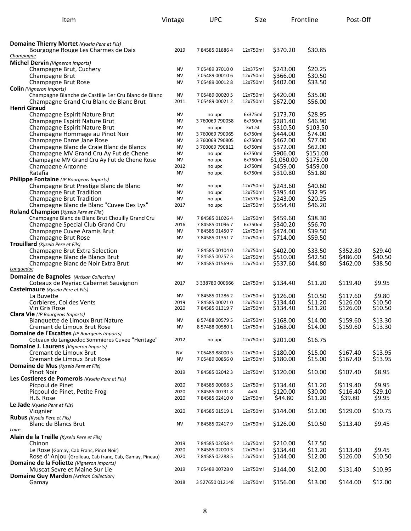| Item                                                                                                   | Vintage                | <b>UPC</b>                   | Size                 |                      | Frontline           | Post-Off             |                    |
|--------------------------------------------------------------------------------------------------------|------------------------|------------------------------|----------------------|----------------------|---------------------|----------------------|--------------------|
| Domaine Thierry Mortet (Kysela Pere et Fils)                                                           |                        |                              |                      |                      |                     |                      |                    |
| Bourgogne Rouge Les Charmes de Daix<br><u>Champaqne</u>                                                | 2019                   | 784585018864                 | 12x750ml             | \$370.20             | \$30.85             |                      |                    |
| <b>Michel Dervin</b> (Vigneron Imports)                                                                |                        |                              |                      |                      |                     |                      |                    |
| Champagne Brut, Cuchery                                                                                | <b>NV</b>              | 7 05489 37010 0              | 12x375ml             | \$243.00             | \$20.25             |                      |                    |
| Champagne Brut                                                                                         | <b>NV</b>              | 7 05489 00010 6              | 12x750ml             | \$366.00             | \$30.50             |                      |                    |
| Champagne Brut Rose                                                                                    | <b>NV</b>              | 7 05489 00012 8              | 12x750ml             | \$402.00             | \$33.50             |                      |                    |
| <b>Colin</b> (Vigneron Imports)<br>Champagne Blanche de Castille 1er Cru Blanc de Blanc                | <b>NV</b>              | 7 05489 00020 5              | 12x750ml             | \$420.00             | \$35.00             |                      |                    |
| Champagne Grand Cru Blanc de Blanc Brut                                                                | 2011                   | 7 05489 00021 2              | 12x750ml             | \$672.00             | \$56.00             |                      |                    |
| <b>Henri Giraud</b>                                                                                    |                        |                              |                      |                      |                     |                      |                    |
| Champagne Espirit Nature Brut                                                                          | <b>NV</b>              | no upc                       | 6x375ml              | \$173.70             | \$28.95             |                      |                    |
| Champagne Espirit Nature Brut                                                                          | <b>NV</b>              | 3760069790058                | 6x750ml              | \$281.40             | \$46.90             |                      |                    |
| Champagne Espirit Nature Brut                                                                          | NV<br><b>NV</b>        | no upc<br>3760069790065      | 3x1.5L<br>6x750ml    | \$310.50<br>\$444.00 | \$103.50<br>\$74.00 |                      |                    |
| Champagne Hommage au Pinot Noir<br>Champagne Dame Jane Rose                                            | <b>NV</b>              | 3760069790805                | 6x750ml              | \$462.00             | \$77.00             |                      |                    |
| Champagne Blanc de Craie Blanc de Blancs                                                               | <b>NV</b>              | 3760069790812                | 6x750ml              | \$372.00             | \$62.00             |                      |                    |
| Champagne MV Grand Cru Ay Fut de Chene                                                                 | <b>NV</b>              | no upc                       | 6x750ml              | \$906.00             | \$151.00            |                      |                    |
| Champagne MV Grand Cru Ay Fut de Chene Rose                                                            | ΝV                     | no upc                       | 6x750ml              | \$1,050.00           | \$175.00            |                      |                    |
| Champagne Argonne                                                                                      | 2012                   | no upc                       | 1x750ml              | \$459.00             | \$459.00            |                      |                    |
| Ratafia<br>Philippe Fontaine (JP Bourgeois Imports)                                                    | <b>NV</b>              | no upc                       | 6x750ml              | \$310.80             | \$51.80             |                      |                    |
| Champagne Brut Prestige Blanc de Blanc                                                                 | NV                     | no upc                       | 12x750ml             | \$243.60             | \$40.60             |                      |                    |
| <b>Champagne Brut Tradition</b>                                                                        | <b>NV</b>              | no upc                       | 12x750ml             | \$395.40             | \$32.95             |                      |                    |
| <b>Champagne Brut Tradition</b>                                                                        | NV                     | no upc                       | 12x375ml             | \$243.00             | \$20.25             |                      |                    |
| Champagne Blanc de Blanc "Cuvee Des Lys"                                                               | 2017                   | no upc                       | 12x750ml             | \$554.40             | \$46.20             |                      |                    |
| Roland Champion (Kysela Pere et Fils)                                                                  |                        |                              |                      |                      | \$38.30             |                      |                    |
| Champagne Blanc de Blanc Brut Chouilly Grand Cru<br>Champagne Special Club Grand Cru                   | NV<br>2016             | 784585010264<br>784585010967 | 12x750ml<br>6x750ml  | \$459.60<br>\$340.20 | \$56.70             |                      |                    |
| Champagne Cuvee Aramis Brut                                                                            | <b>NV</b>              | 784585014507                 | 12x750ml             | \$474.00             | \$39.50             |                      |                    |
| Champagne Brut Rose                                                                                    | <b>NV</b>              | 784585013517                 | 12x750ml             | \$714.00             | \$59.50             |                      |                    |
| Trouillard (Kysela Pere et Fils)                                                                       |                        |                              |                      |                      |                     |                      |                    |
| Champagne Brut Extra Selection                                                                         | <b>NV</b>              | 784585001040                 | 12x750ml             | \$402.00             | \$33.50             | \$352.80             | \$29.40            |
| Champagne Blanc de Blancs Brut<br>Champagne Blanc de Noir Extra Brut                                   | <b>NV</b><br><b>NV</b> | 784585002573                 | 12x750ml<br>12x750ml | \$510.00<br>\$537.60 | \$42.50<br>\$44.80  | \$486.00<br>\$462.00 | \$40.50<br>\$38.50 |
| <u>Lanquedoc</u>                                                                                       |                        | 784585015696                 |                      |                      |                     |                      |                    |
| <b>Domaine de Bagnoles</b> (Artisan Collection)                                                        |                        |                              |                      |                      |                     |                      |                    |
| Coteaux de Peyriac Cabernet Sauvignon                                                                  | 2017                   | 3 338780 000666              | 12x750ml             | \$134.40             | \$11.20             | \$119.40             | \$9.95             |
| <b>Castelmaure</b> (Kysela Pere et Fils)                                                               |                        |                              |                      |                      |                     |                      |                    |
| La Buvette                                                                                             | <b>NV</b>              | 784585012862                 | 12x750ml             | \$126.00<br>\$134.40 | \$10.50<br>\$11.20  | \$117.60<br>\$126.00 | \$9.80<br>\$10.50  |
| Corbieres, Col des Vents<br>Vin Gris Rose                                                              | 2019<br>2020           | 784585000210<br>784585013197 | 12x750ml<br>12x750ml | S134.40              | \$11.20             | \$126.00             | \$10.50            |
| Clara Vie (JP Bourgeois Imports)                                                                       |                        |                              |                      |                      |                     |                      |                    |
| Blanquette de Limoux Brut Nature                                                                       | ΝV                     | 8 57488 00579 5              | 12x750ml             | \$168.00             | \$14.00             | \$159.60             | \$13.30            |
| Cremant de Limoux Brut Rose                                                                            | <b>NV</b>              | 8 57488 00580 1              | 12x750ml             | \$168.00             | \$14.00             | \$159.60             | \$13.30            |
| <b>Domaine de l'Escattes</b> (JP Bourgeois Imports)<br>Coteaux du Languedoc Sommieres Cuvee "Heritage" | 2012                   | no upc                       | 12x750ml             | \$201.00             | \$16.75             |                      |                    |
| Domaine J. Laurens (Vigneron Imports)                                                                  |                        |                              |                      |                      |                     |                      |                    |
| Cremant de Limoux Brut                                                                                 | <b>NV</b>              | 7 05489 88000 5              | 12x750ml             | \$180.00             | \$15.00             | \$167.40             | \$13.95            |
| Cremant de Limoux Brut Rose                                                                            | <b>NV</b>              | 7 05489 00856 0              | 12x750ml             | \$180.00             | \$15.00             | \$167.40             | \$13.95            |
| <b>Domaine de Mus</b> (Kysela Pere et Fils)                                                            |                        |                              |                      |                      |                     |                      |                    |
| Pinot Noir<br>Les Costieres de Pomerols (Kysela Pere et Fils)                                          | 2019                   | 784585020423                 | 12x750ml             | \$120.00             | \$10.00             | \$107.40             | \$8.95             |
| Picpoul de Pinet                                                                                       | 2020                   | 784585000685                 | 12x750ml             | \$134.40             | \$11.20             | \$119.40             | \$9.95             |
| Picpoul de Pinet, Petite Frog                                                                          | 2020                   | 784585007318                 | 4x3L                 | \$120.00             | \$30.00             | \$116.40             | \$29.10            |
| H.B. Rose                                                                                              | 2020                   | 784585024100                 | 12x750ml             | \$44.80              | \$11.20             | \$39.80              | \$9.95             |
| Le Jade (Kysela Pere et Fils)                                                                          |                        |                              |                      |                      |                     |                      |                    |
| Viognier                                                                                               | 2020                   | 784585015191                 | 12x750ml             | \$144.00             | \$12.00             | \$129.00             | \$10.75            |
| <b>Rubus</b> (Kysela Pere et Fils)<br>Blanc de Blancs Brut                                             | NV                     | 784585024179                 | 12x750ml             | \$126.00             | \$10.50             | \$113.40             | \$9.45             |
| <u>Loire</u>                                                                                           |                        |                              |                      |                      |                     |                      |                    |
| Alain de la Treille (Kysela Pere et Fils)                                                              |                        |                              |                      |                      |                     |                      |                    |
| Chinon                                                                                                 | 2019                   | 784585020584                 | 12x750ml             | \$210.00             | \$17.50             |                      |                    |
| Le Rose (Gamay, Cab Franc, Pinot Noir)                                                                 | 2020                   | 784585020003                 | 12x750ml             | \$134.40             | \$11.20             | \$113.40             | \$9.45             |
| Rose d'Anjou (Grolleau, Cab franc, Cab, Gamay, Pineau)<br>Domaine de la Foliette (Vigneron Imports)    | 2020                   | 784585022885                 | 12x750ml             | \$144.00             | \$12.00             | \$126.00             | \$10.50            |
| Muscat Sevre et Maine Sur Lie                                                                          | 2019                   | 705489007280                 | 12x750ml             | \$144.00             | \$12.00             | \$131.40             | \$10.95            |
| <b>Domaine Guy Mardon</b> (Artisan Collection)                                                         |                        |                              |                      |                      |                     |                      |                    |
| Gamay                                                                                                  | 2018                   | 3 527650 012148              | 12x750ml             | \$156.00             | \$13.00             | \$144.00             | \$12.00            |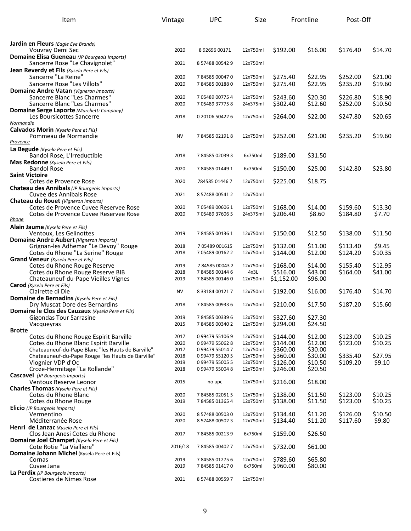| Item                                                                                   | Vintage      | <b>UPC</b>                         | Size                 |                      | Frontline          | Post-Off             |                   |
|----------------------------------------------------------------------------------------|--------------|------------------------------------|----------------------|----------------------|--------------------|----------------------|-------------------|
|                                                                                        |              |                                    |                      |                      |                    |                      |                   |
| <b>Jardin en Fleurs</b> (Eagle Eye Brands)                                             |              |                                    |                      |                      |                    |                      |                   |
| Vouvray Demi Sec                                                                       | 2020         | 8 92696 00171                      | 12x750ml             | \$192.00             | \$16.00            | \$176.40             | \$14.70           |
| Domaine Elisa Gueneau (JP Bourgeois Imports)<br>Sancerre Rose "Le Chavignolet"         | 2021         | 8 57488 00542 9                    | 12x750ml             |                      |                    |                      |                   |
| Jean Reverdy et Fils (Kysela Pere et Fils)                                             |              |                                    |                      |                      |                    |                      |                   |
| Sancerre "La Reine"                                                                    | 2020         | 784585000470                       | 12x750ml             | \$275.40             | \$22.95            | \$252.00             | \$21.00           |
| Sancerre Rose "Les Villots"                                                            | 2020         | 784585001880                       | 12x750ml             | \$275.40             | \$22.95            | \$235.20             | \$19.60           |
| <b>Domaine Andre Vatan (Vigneron Imports)</b><br>Sancerre Blanc "Les Charmes"          | 2020         | 7 05489 00775 4                    | 12x750ml             | \$243.60             | \$20.30            | \$226.80             | \$18.90           |
| Sancerre Blanc "Les Charmes"                                                           | 2020         | 7 05489 37775 8                    | 24x375ml             | \$302.40             | \$12.60            | \$252.00             | \$10.50           |
| Domaine Serge Laporte (Marchetti Company)                                              |              |                                    |                      |                      |                    |                      |                   |
| Les Boursicottes Sancerre<br>Normandie                                                 | 2018         | 0 20106 50422 6                    | 12x750ml             | \$264.00             | \$22.00            | \$247.80             | \$20.65           |
| Calvados Morin (Kysela Pere et Fils)                                                   |              |                                    |                      |                      |                    |                      |                   |
| Pommeau de Normandie<br>Provence                                                       | <b>NV</b>    | 784585021918                       | 12x750ml             | \$252.00             | \$21.00            | \$235.20             | \$19.60           |
| La Begude (Kysela Pere et Fils)                                                        |              |                                    |                      |                      |                    |                      |                   |
| Bandol Rose, L'Irreductible                                                            | 2018         | 784585020393                       | 6x750ml              | \$189.00             | \$31.50            |                      |                   |
| Mas Redonne (Kysela Pere et Fils)<br><b>Bandol Rose</b>                                | 2020         | 784585014491                       | 6x750ml              | \$150.00             | \$25.00            | \$142.80             | \$23.80           |
| <b>Saint Victoire</b>                                                                  |              |                                    |                      |                      |                    |                      |                   |
| Cotes de Provence Rose                                                                 | 2020         | 784585 01446 7                     | 12x750ml             | \$225.00             | \$18.75            |                      |                   |
| Chateau des Annibals (JP Bourgeois Imports)<br>Cuvee des Annibals Rose                 | 2021         | 8 57488 00541 2                    | 12x750ml             |                      |                    |                      |                   |
| Chateau du Rouet (Vigneron Imports)                                                    |              |                                    |                      |                      |                    |                      |                   |
| Cotes de Provence Cuvee Reservee Rose                                                  | 2020         | 7 05489 00606 1                    | 12x750ml             | \$168.00             | \$14.00            | \$159.60             | \$13.30           |
| Cotes de Provence Cuvee Reservee Rose<br>Rhone                                         | 2020         | 7 05489 37606 5                    | 24x375ml             | \$206.40             | \$8.60             | \$184.80             | \$7.70            |
| Alain Jaume (Kysela Pere et Fils)                                                      |              |                                    |                      |                      |                    |                      |                   |
| Ventoux, Les Gelinottes                                                                | 2019         | 784585001361                       | 12x750ml             | \$150.00             | \$12.50            | \$138.00             | \$11.50           |
| <b>Domaine Andre Aubert</b> (Vigneron Imports)<br>Grignan-les Adhemar "Le Devoy" Rouge | 2018         | 7 05489 001615                     | 12x750ml             | \$132.00             | \$11.00            | \$113.40             | \$9.45            |
| Cotes du Rhone "La Serine" Rouge                                                       | 2018         | 7 05489 00162 2                    | 12x750ml             | \$144.00             | \$12.00            | \$124.20             | \$10.35           |
| <b>Grand Veneur</b> (Kysela Pere et Fils)<br>Cotes du Rhone Rouge Reserve              | 2019         | 784585000432                       | 12x750ml             | \$168.00             | \$14.00            | \$155.40             | \$12.95           |
| Cotes du Rhone Rouge Reserve BIB                                                       | 2018         | 784585001446                       | 4x3L                 | \$516.00             | \$43.00            | \$164.00             | \$41.00           |
| Chateauneuf-du-Pape Vieilles Vignes                                                    | 2019         | 784585001460                       | 12x750ml             | \$1,152.00           | \$96.00            |                      |                   |
| <b>Carod</b> (Kysela Pere et Fils)<br>Clairette di Die                                 | <b>NV</b>    | 8 33184 00121 7                    | 12x750ml             | \$192.00             | \$16.00            | \$176.40             | \$14.70           |
| Domaine de Bernadins (Kysela Pere et Fils)                                             |              |                                    |                      |                      |                    |                      |                   |
| Dry Muscat Dore des Bernardins                                                         | 2018         | 784585009336                       | 12x750ml             | \$210.00             | \$17.50            | \$187.20             | \$15.60           |
| Domaine le Clos des Cauzaux (Kysela Pere et Fils)<br><b>Gigondas Tour Sarrasine</b>    | 2019         | 784585003396                       | 12x750ml             | \$327.60             | \$27.30            |                      |                   |
| Vacqueyras                                                                             | 2015         | 784585003402                       | 12x750ml             | \$294.00             | \$24.50            |                      |                   |
| <b>Brotte</b><br>Cotes du Rhone Rouge Espirit Barville                                 | 2017         | 0 99479 55106 9                    | 12x750ml             | \$144.00             | \$12.00            | \$123.00             | \$10.25           |
| Cotes du Rhone Blanc Espirit Barville                                                  | 2020         | 099479550628                       | 12x750ml             | \$144.00             | \$12.00            | \$123.00             | \$10.25           |
| Chateauneuf-du-Pape Blanc "les Hauts de Barville"                                      | 2017         | 0 99479 55014 7                    | 12x750ml             | \$360.00             | \$30.00            |                      |                   |
| Chateauneuf-du-Pape Rouge "les Hauts de Barville"                                      | 2018         | 0 99479 55120 5                    | 12x750ml             | \$360.00             | \$30.00            | \$335.40             | \$27.95           |
| Viognier VDP d'Oc<br>Croze-Hermitage "La Rollande"                                     | 2019<br>2018 | 0 99479 55005 5<br>0 99479 55004 8 | 12x750ml<br>12x750ml | \$126.00<br>\$246.00 | \$10.50<br>\$20.50 | \$109.20             | \$9.10            |
| <b>Cascavel</b> (JP Bourgeois Imports)                                                 |              |                                    |                      |                      |                    |                      |                   |
| Ventoux Reserve Leonor                                                                 | 2015         | no upc                             | 12x750ml             | \$216.00             | \$18.00            |                      |                   |
| <b>Charles Thomas</b> (Kysela Pere et Fils)<br>Cotes du Rhone Blanc                    | 2020         | 784585020515                       | 12x750ml             | \$138.00             | \$11.50            | \$123.00             | \$10.25           |
| Cotes du Rhone Rouge                                                                   | 2019         | 784585013654                       | 12x750ml             | \$138.00             | \$11.50            | \$123.00             | \$10.25           |
| Elicio (JP Bourgeois Imports)                                                          |              |                                    |                      |                      |                    |                      |                   |
| Vermentino<br>Méditerranée Rose                                                        | 2020<br>2020 | 8 57488 00503 0<br>8 57488 00502 3 | 12x750ml<br>12x750ml | \$134.40<br>\$134.40 | \$11.20<br>\$11.20 | \$126.00<br>\$117.60 | \$10.50<br>\$9.80 |
| Henri de Lanzac (Kysela Pere et Fils)                                                  |              |                                    |                      |                      |                    |                      |                   |
| Clos Jean Anesi Cotes du Rhone                                                         | 2017         | 784585002139                       | 6x750ml              | \$159.00             | \$26.50            |                      |                   |
| Domaine Joel Champet (Kysela Pere et Fils)<br>Cote Rotie "La Vialliere"                | 2016/18      | 784585004027                       | 12x750ml             | \$732.00             | \$61.00            |                      |                   |
| Domaine Johann Michel (Kysela Pere et Fils)                                            |              |                                    |                      |                      |                    |                      |                   |
| Cornas<br>Cuvee Jana                                                                   | 2019<br>2019 | 784585012756<br>784585014170       | 12x750ml<br>6x750ml  | \$789.60<br>\$960.00 | \$65.80<br>\$80.00 |                      |                   |
| La Perdix (JP Bourgeois Imports)                                                       |              |                                    |                      |                      |                    |                      |                   |
| Costieres de Nimes Rose                                                                | 2021         | 8 57488 00559 7                    | 12x750ml             |                      |                    |                      |                   |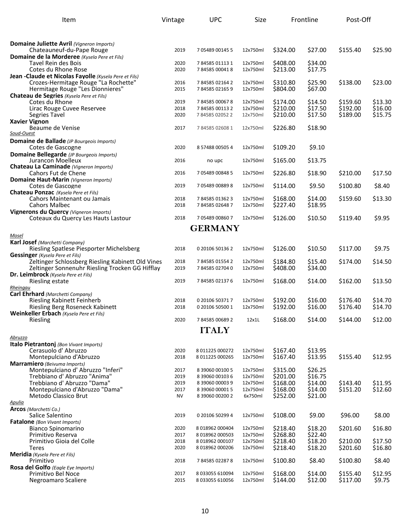| Item                                                                                                 | Vintage      | <b>UPC</b>                         | Size                 |                      | Frontline          | Post-Off |         |
|------------------------------------------------------------------------------------------------------|--------------|------------------------------------|----------------------|----------------------|--------------------|----------|---------|
|                                                                                                      |              |                                    |                      |                      |                    |          |         |
| <b>Domaine Juliette Avril</b> (Vigneron Imports)                                                     |              |                                    |                      |                      |                    |          |         |
| Chateauneuf-du-Pape Rouge                                                                            | 2019         | 7 05489 00145 5                    | 12x750ml             | \$324.00             | \$27.00            | \$155.40 | \$25.90 |
| Domaine de la Morderee (Kysela Pere et Fils)<br>Tavel Rein des Bois                                  |              |                                    |                      |                      | \$34.00            |          |         |
| Cotes du Rhone Rose                                                                                  | 2020<br>2020 | 784585011131<br>784585000418       | 12x750ml<br>12x750ml | \$408.00<br>\$213.00 | \$17.75            |          |         |
| Jean -Claude et Nicolas Fayolle (Kysela Pere et Fils)                                                |              |                                    |                      |                      |                    |          |         |
| Crozes-Hermitage Rouge "La Rochette"                                                                 | 2016         | 784585021642                       | 12x750ml             | \$310.80             | \$25.90            | \$138.00 | \$23.00 |
| Hermitage Rouge "Les Dionnieres"<br>Chateau de Segries (Kysela Pere et Fils)                         | 2015         | 784585021659                       | 12x750ml             | \$804.00             | \$67.00            |          |         |
| Cotes du Rhone                                                                                       | 2019         | 784585000678                       | 12x750ml             | \$174.00             | \$14.50            | \$159.60 | \$13.30 |
| Lirac Rouge Cuvee Reservee                                                                           | 2018         | 784585001132                       | 12x750ml             | \$210.00             | \$17.50            | \$192.00 | \$16.00 |
| Segries Tavel                                                                                        | 2020         | 784585020522                       | 12x750ml             | \$210.00             | \$17.50            | \$189.00 | \$15.75 |
| <b>Xavier Vignon</b><br>Beaume de Venise                                                             | 2017         | 784585026081                       | 12x750ml             | \$226.80             | \$18.90            |          |         |
| Soud-Ouest                                                                                           |              |                                    |                      |                      |                    |          |         |
| Domaine de Ballade (JP Bourgeois Imports)                                                            |              |                                    |                      |                      |                    |          |         |
| Cotes de Gascogne                                                                                    | 2020         | 8 57488 00505 4                    | 12x750ml             | \$109.20             | \$9.10             |          |         |
| Domaine Bellegarde (JP Bourgeois Imports)<br>Jurancon Moelleux                                       | 2016         | no upc                             | 12x750ml             | \$165.00             | \$13.75            |          |         |
| Chateau La Caminade (Vianeron Imports)                                                               |              |                                    |                      |                      |                    |          |         |
| Cahors Fut de Chene                                                                                  | 2016         | 7 05489 00848 5                    | 12x750ml             | \$226.80             | \$18.90            | \$210.00 | \$17.50 |
| Domaine Haut-Marin (Vigneron Imports)<br>Cotes de Gascogne                                           | 2019         | 7 05489 00889 8                    | 12x750ml             | \$114.00             | \$9.50             | \$100.80 | \$8.40  |
| Chateau Ponzac (Kysela Pere et Fils)                                                                 |              |                                    |                      |                      |                    |          |         |
| Cahors Maintenant ou Jamais                                                                          | 2018         | 784585013623                       | 12x750ml             | \$168.00             | \$14.00            | \$159.60 | \$13.30 |
| <b>Cahors Malbec</b>                                                                                 | 2018         | 784585026487                       | 12x750ml             | \$227.40             | \$18.95            |          |         |
| Vignerons du Quercy (Vigneron Imports)<br>Coteaux du Quercy Les Hauts Lastour                        | 2018         | 705489008607                       | 12x750ml             | \$126.00             | \$10.50            | \$119.40 | \$9.95  |
|                                                                                                      |              |                                    |                      |                      |                    |          |         |
| Mosel                                                                                                |              | <b>GERMANY</b>                     |                      |                      |                    |          |         |
| Karl Josef (Marchetti Company)                                                                       |              |                                    |                      |                      |                    |          |         |
| Riesling Spatlese Piesporter Michelsberg                                                             | 2018         | 0 20106 50136 2                    | 12x750ml             | \$126.00             | \$10.50            | \$117.00 | \$9.75  |
| <b>Gessinger</b> (Kysela Pere et Fils)                                                               |              |                                    |                      |                      |                    |          |         |
| Zeltinger Schlossberg Riesling Kabinett Old Vines<br>Zeltinger Sonnenuhr Riesling Trocken GG Hifflay | 2018<br>2019 | 784585015542<br>784585027040       | 12x750ml<br>12x750ml | \$184.80<br>\$408.00 | \$15.40<br>\$34.00 | \$174.00 | \$14.50 |
| Dr. Leimbrock (Kysela Pere et Fils)                                                                  |              |                                    |                      |                      |                    |          |         |
| Riesling estate                                                                                      | 2019         | 784585021376                       | 12x750ml             | \$168.00             | \$14.00            | \$162.00 | \$13.50 |
| Rheingau                                                                                             |              |                                    |                      |                      |                    |          |         |
| Carl Ehrhard (Marchetti Company)<br><b>Riesling Kabinett Feinherb</b>                                | 2018         | 0 20106 50371 7                    | 12x750ml             | \$192.00             | \$16.00            | \$176.40 | \$14.70 |
| Riesling Berg Roseneck Kabinett                                                                      | 2018         | 0 20106 50500 1                    | 12x750ml             | \$192.00             | \$16.00            | \$176.40 | \$14.70 |
| Weinkeller Erbach (Kysela Pere et Fils)                                                              |              |                                    |                      |                      |                    |          |         |
| Riesling                                                                                             | 2020         | 784585006892                       | 12x1L                | \$168.00             | \$14.00            | \$144.00 | \$12.00 |
|                                                                                                      |              | <b>ITALY</b>                       |                      |                      |                    |          |         |
| Abruzzo                                                                                              |              |                                    |                      |                      |                    |          |         |
| Italo Pietrantonj (Bon Vivant Imports)<br>Cerasuolo d'Abruzzo                                        | 2020         | 8 011225 000272                    | 12x750ml             | \$167.40             | \$13.95            |          |         |
| Montepulciano d'Abruzzo                                                                              | 2018         | 8 011225 000265                    | 12x750ml             | \$167.40             | \$13.95            | \$155.40 | \$12.95 |
| Marramiero (Beivuma Imports)                                                                         |              |                                    |                      |                      |                    |          |         |
| Montepulciano d'Abruzzo "Inferi"<br>Trebbiano d' Abruzzo "Anima"                                     | 2017<br>2019 | 8 39060 00100 5<br>8 39060 00103 6 | 12x750ml<br>12x750ml | \$315.00<br>\$201.00 | \$26.25<br>\$16.75 |          |         |
| Trebbiano d' Abruzzo "Dama"                                                                          | 2019         | 8 39060 00003 9                    | 12x750ml             | \$168.00             | \$14.00            | \$143.40 | \$11.95 |
| Montepulciano d'Abruzzo "Dama"                                                                       | 2017         | 8 39060 00001 5                    | 12x750ml             | \$168.00             | \$14.00            | \$151.20 | \$12.60 |
| Metodo Classico Brut                                                                                 | <b>NV</b>    | 8 39060 00200 2                    | 6x750ml              | \$252.00             | \$21.00            |          |         |
| <u>Apulia</u><br>Arcos (Marchetti Co.)                                                               |              |                                    |                      |                      |                    |          |         |
| Salice Salentino                                                                                     | 2019         | 0 20106 50299 4                    | 12x750ml             | \$108.00             | \$9.00             | \$96.00  | \$8.00  |
| <b>Fatalone</b> (Bon Vivant Imports)                                                                 |              |                                    |                      |                      |                    |          |         |
| Bianco Spinomarino                                                                                   | 2020         | 8 018962 000404                    | 12x750ml             | \$218.40             | \$18.20            | \$201.60 | \$16.80 |
| Primitivo Reserva<br>Primitivo Gioia del Colle                                                       | 2017<br>2018 | 8 018962 000503<br>8 018962 000107 | 12x750ml<br>12x750ml | \$268.80<br>\$218.40 | \$22.40<br>\$18.20 | \$210.00 | \$17.50 |
| <b>Teres</b>                                                                                         | 2020         | 8 018962 000206                    | 12x750ml             | \$218.40             | \$18.20            | \$201.60 | \$16.80 |
| <b>Meridia</b> (Kysela Pere et Fils)                                                                 |              |                                    |                      |                      |                    |          |         |
| Primitivo                                                                                            | 2018         | 784585022878                       | 12x750ml             | \$100.80             | \$8.40             | \$100.80 | \$8.40  |
| Rosa del Golfo (Eagle Eye Imports)<br>Primitivo Bel Noce                                             | 2017         | 8 033055 610094                    | 12x750ml             | \$168.00             | \$14.00            | \$155.40 | \$12.95 |
| Negroamaro Scaliere                                                                                  | 2015         | 8 033055 610056                    | 12x750ml             | \$144.00             | \$12.00            | \$117.00 | \$9.75  |
|                                                                                                      |              |                                    |                      |                      |                    |          |         |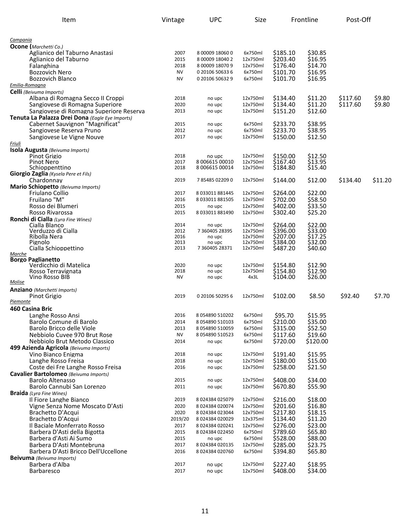| Item                                                         | Vintage           | <b>UPC</b>                         | Size                 |                      | Frontline          | Post-Off |         |
|--------------------------------------------------------------|-------------------|------------------------------------|----------------------|----------------------|--------------------|----------|---------|
|                                                              |                   |                                    |                      |                      |                    |          |         |
| Campania                                                     |                   |                                    |                      |                      |                    |          |         |
| <b>Ocone</b> (Marchetti Co.)                                 |                   |                                    |                      |                      |                    |          |         |
| Aglianico del Taburno Anastasi                               | 2007              | 8 00009 18060 0                    | 6x750ml              | \$185.10             | \$30.85            |          |         |
| Aglianico del Taburno                                        | 2015              | 8 00009 18040 2                    | 12x750ml             | \$203.40             | \$16.95            |          |         |
| Falanghina                                                   | 2018<br><b>NV</b> | 8 00009 18070 9                    | 12x750ml             | \$176.40             | \$14.70            |          |         |
| <b>Bozzovich Nero</b><br><b>Bozzovich Blanco</b>             | <b>NV</b>         | 0 20106 50633 6<br>0 20106 50632 9 | 6x750ml<br>6x750ml   | \$101.70<br>\$101.70 | \$16.95<br>\$16.95 |          |         |
| Emilia-Romagna                                               |                   |                                    |                      |                      |                    |          |         |
| Celli (Beivuma Imports)                                      |                   |                                    |                      |                      |                    |          |         |
| Albana di Romagna Secco II Croppi                            | 2018              | no upc                             | 12x750ml             | \$134.40             | \$11.20            | \$117.60 | \$9.80  |
| Sangiovese di Romagna Superiore                              | 2020              | no upc                             | 12x750ml             | \$134.40             | \$11.20            | \$117.60 | \$9.80  |
| Sangiovese di Romagna Superiore Reserva                      | 2013              | no upc                             | 12x750ml             | \$151.20             | \$12.60            |          |         |
| Tenuta La Palazza Drei Dona (Eagle Eye Imports)              |                   |                                    |                      |                      |                    |          |         |
| Cabernet Sauvignon "Magnificat"                              | 2015              | no upc                             | 6x750ml              | \$233.70             | \$38.95            |          |         |
| Sangiovese Reserva Pruno                                     | 2012              | no upc                             | 6x750ml              | \$233.70             | \$38.95            |          |         |
| Sangiovese Le Vigne Nouve                                    | 2017              | no upc                             | 12x750ml             | \$150.00             | \$12.50            |          |         |
| <u>Friuli</u>                                                |                   |                                    |                      |                      |                    |          |         |
| Isola Augusta (Beivuma Imports)<br>Pinot Grigio              | 2018              | no upc                             | 12x750ml             | \$150.00             | \$12.50            |          |         |
| Pinot Nero                                                   | 2017              | 8 006615 00010                     | 12x750ml             | \$167.40             | \$13.95            |          |         |
| Schioppenttino                                               | 2018              | 8 006615 00014                     | 12x750ml             | \$184.80             | \$15.40            |          |         |
| Giorgio Zaglia (Kysela Pere et Fils)                         |                   |                                    |                      |                      |                    |          |         |
| Chardonnay                                                   | 2019              | 785485022090                       | 12x750ml             | \$144.00             | \$12.00            | \$134.40 | \$11.20 |
| Mario Schiopetto (Beivuma Imports)                           |                   |                                    |                      |                      |                    |          |         |
| Friulano Collio                                              | 2017              | 8 033011 881445                    | 12x750ml             | \$264.00             | \$22.00            |          |         |
| Fruilano "M"                                                 | 2016              | 8 033011 881505                    | 12x750ml             | \$702.00<br>\$402.00 | \$58.50            |          |         |
| Rosso dei Blumeri<br>Rosso Rivarossa                         | 2015<br>2015      | no upc<br>8 033011 881490          | 12x750ml<br>12x750ml | \$302.40             | \$33.50<br>\$25.20 |          |         |
| Ronchi di Cialla (Lyra Fine Wines)                           |                   |                                    |                      |                      |                    |          |         |
| Cialla Blanco                                                | 2014              | no upc                             | 12x750ml             | \$264.00             | \$22.00            |          |         |
| Verduzzo di Cialla                                           | 2012              | 7 360405 28395                     | 12x750ml             | \$396.00             | \$33.00            |          |         |
| Ribolla Nera                                                 | 2016              | no upc                             | 12x750ml             | \$207.00             | \$17.25            |          |         |
| Pignolo                                                      | 2013              | no upc                             | 12x750ml             | \$384.00             | \$32.00            |          |         |
| Cialla Schioppettino<br>Marche                               | 2013              | 7 360405 28371                     | 12x750ml             | \$487.20             | \$40.60            |          |         |
| <b>Borgo Paglianetto</b>                                     |                   |                                    |                      |                      |                    |          |         |
| Verdicchio di Matelica                                       | 2020              | no upc                             | 12x750ml             | \$154.80             | \$12.90            |          |         |
| Rosso Terravignata                                           | 2018              | no upc                             | 12x750ml             | \$154.80             | \$12.90            |          |         |
| Vino Rosso BIB<br>Molise                                     | <b>NV</b>         | no upc                             | 4x3L                 | \$104.00             | \$26.00            |          |         |
| <b>Anziano</b> (Marchetti Imports)                           |                   |                                    |                      |                      |                    |          |         |
| Pinot Grigio                                                 | 2019              | 0 20106 50295 6                    | 12x750ml             | \$102.00             | \$8.50             | \$92.40  | \$7.70  |
| Piemonte                                                     |                   |                                    |                      |                      |                    |          |         |
| 460 Casina Bric                                              |                   |                                    |                      |                      |                    |          |         |
| Langhe Rosso Ansi                                            | 2016              | 8 054890 510202                    | 6x750ml              | \$95.70              | \$15.95            |          |         |
| Barolo Comune di Barolo                                      | 2014              | 8 054890 510103                    | 6x750ml              | \$210.00             | \$35.00            |          |         |
| Barolo Bricco delle Viole                                    | 2013              | 8 054890 510059                    | 6x750ml              | \$315.00             | \$52.50            |          |         |
| Nebbiolo Cuvee 970 Brut Rose                                 | NV                | 8 054890 510523                    | 6x750ml              | \$117.60             | \$19.60            |          |         |
| Nebbiolo Brut Metodo Classico                                | 2014              | no upc                             | 6x750ml              | \$720.00             | \$120.00           |          |         |
| 499 Azienda Agricola (Beivuma Imports)<br>Vino Bianco Enigma | 2018              | no upc                             | 12x750ml             | \$191.40             | \$15.95            |          |         |
| Langhe Rosso Freisa                                          | 2018              | no upc                             | 12x750ml             | \$180.00             | \$15.00            |          |         |
| Coste dei Fre Langhe Rosso Freisa                            | 2016              | no upc                             | 12x750ml             | \$258.00             | \$21.50            |          |         |
| Cavalier Bartolomeo (Beivuma Imports)                        |                   |                                    |                      |                      |                    |          |         |
| Barolo Altenasso                                             | 2015              | no upc                             | 12x750ml             | \$408.00             | \$34.00            |          |         |
| Barolo Cannubi San Lorenzo                                   | 2011              | no upc                             | 12x750ml             | \$670.80             | \$55.90            |          |         |
| <b>Braida</b> (Lyra Fine Wines)                              |                   |                                    |                      |                      |                    |          |         |
| Il Fiore Langhe Bianco                                       | 2019              | 8 024384 025079                    | 12x750ml             | \$216.00             | \$18.00            |          |         |
| Vigne Senza Nome Moscato D'Asti                              | 2020              | 8 024384 020074                    | 12x750ml             | \$201.60             | \$16.80            |          |         |
| Brachetto D'Acqui                                            | 2020              | 8 024384 023044                    | 12x750ml             | \$217.80             | \$18.15            |          |         |
| Brachetto D'Acqui                                            | 2019/20           | 8 024384 020029                    | 12x375ml             | \$134.40             | \$11.20            |          |         |
| Il Baciale Monferrato Rosso<br>Barbera D'Asti della Bigotta  | 2017<br>2015      | 8 024384 020241<br>8 024384 022450 | 12x750ml<br>6x750ml  | \$276.00<br>\$789.60 | \$23.00<br>\$65.80 |          |         |
| Barbera d'Asti Ai Sumo                                       | 2015              | no upc                             | 6x750ml              | \$528.00             | \$88.00            |          |         |
| Barbera D'Asti Montebruna                                    | 2017              | 8 024384 020135                    | 12x750ml             | \$285.00             | \$23.75            |          |         |
| Barbera D'Asti Bricco Dell'Uccellone                         | 2016              | 8 024384 020760                    | 6x750ml              | \$394.80             | \$65.80            |          |         |
| <b>Beivuma</b> (Beivuma Imports)                             |                   |                                    |                      |                      |                    |          |         |
| Barbera d'Alba                                               | 2017              | no upc                             | 12x750ml             | \$227.40             | \$18.95            |          |         |
| Barbaresco                                                   | 2017              | no upc                             | 12x750ml             | \$408.00             | \$34.00            |          |         |
|                                                              |                   |                                    |                      |                      |                    |          |         |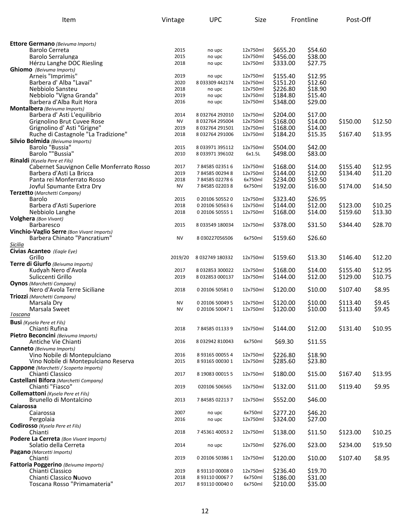| Item                                                                      | Vintage      | <b>UPC</b>                         | Size                 |                      | Frontline          | Post-Off |         |
|---------------------------------------------------------------------------|--------------|------------------------------------|----------------------|----------------------|--------------------|----------|---------|
|                                                                           |              |                                    |                      |                      |                    |          |         |
| <b>Ettore Germano</b> (Beivuma Imports)                                   |              |                                    |                      |                      |                    |          |         |
| Barolo Cerreta                                                            | 2015         | no upc                             | 12x750ml             | \$655.20             | \$54.60            |          |         |
| Barolo Serralunga                                                         | 2015         | no upc                             | 12x750ml             | \$456.00             | \$38.00            |          |         |
| Hérzu Langhe DOC Riesling                                                 | 2018         | no upc                             | 12x750ml             | \$333.00             | \$27.75            |          |         |
| <b>Ghiomo</b> (Beivuma Imports)<br>Arneis "Imprimis"                      | 2019         | no upc                             | 12x750ml             | \$155.40             | \$12.95            |          |         |
| Barbera d' Alba "Lavai"                                                   | 2020         | 8 033309 442174                    | 12x750ml             | \$151.20             | \$12.60            |          |         |
| Nebbiolo Sansteu                                                          | 2018         | no upc                             | 12x750ml             | \$226.80             | \$18.90            |          |         |
| Nebbiolo "Vigna Granda"                                                   | 2019         | no upc                             | 12x750ml             | \$184.80             | \$15.40            |          |         |
| Barbera d'Alba Ruit Hora                                                  | 2016         | no upc                             | 12x750ml             | \$348.00             | \$29.00            |          |         |
| Montalbera (Beivuma Imports)                                              | 2014         |                                    | 12x750ml             |                      |                    |          |         |
| Barbera d'Asti L'equilibrio<br>Grignolino Brut Cuvee Rose                 | <b>NV</b>    | 8 032764 292010<br>8032764295004   | 12x750ml             | \$204.00<br>\$168.00 | \$17.00<br>\$14.00 | \$150.00 | \$12.50 |
| Grignolino d' Asti "Grigne"                                               | 2019         | 8 032764 291501                    | 12x750ml             | \$168.00             | \$14.00            |          |         |
| Ruche di Castagnole "La Tradizione"                                       | 2018         | 8032764291006                      | 12x750ml             | \$184.20             | \$15.35            | \$167.40 | \$13.95 |
| Silvio Bolmida (Beivuma Imports)                                          |              |                                    |                      |                      |                    |          |         |
| Barolo "Bussia"                                                           | 2015         | 8 033971 395112                    | 12x750ml             | \$504.00             | \$42.00            |          |         |
| Barolo ""Bussia"<br>Rinaldi (Kysela Pere et Fils)                         | 2010         | 8 033971 396102                    | 6x1.5L               | \$498.00             | \$83.00            |          |         |
| Cabernet Sauvignon Celle Monferrato Rosso                                 | 2017         | 784585023516                       | 12x750ml             | \$168.00             | \$14.00            | \$155.40 | \$12.95 |
| Barbera d'Asti La Bricca                                                  | 2019         | 784585002948                       | 12x750ml             | \$144.00             | \$12.00            | \$134.40 | \$11.20 |
| Panta rei Monferrato Rosso                                                | 2018         | 784585022786                       | 6x750ml              | \$234.00             | \$19.50            |          |         |
| Joyful Spumante Extra Dry                                                 | <b>NV</b>    | 784585022038                       | 6x750ml              | \$192.00             | \$16.00            | \$174.00 | \$14.50 |
| Terzetto (Marchetti Company)                                              | 2015         | 0 20106 50552 0                    | 12x750ml             |                      | \$26.95            |          |         |
| Barolo<br>Barbera d'Asti Superiore                                        | 2018         | 0 20106 50563 6                    | 12x750ml             | \$323.40<br>\$144.00 | \$12.00            | \$123.00 | \$10.25 |
| Nebbiolo Langhe                                                           | 2018         | 0 20106 50555 1                    | 12x750ml             | \$168.00             | \$14.00            | \$159.60 | \$13.30 |
| <b>Volghera</b> (Bon Vivant)                                              |              |                                    |                      |                      |                    |          |         |
| Barbaresco                                                                | 2015         | 8 033549 180034                    | 12x750ml             | \$378.00             | \$31.50            | \$344.40 | \$28.70 |
| Vinchio-Vaglio Serre (Bon Vivant Imports)<br>Barbera Chinato "Pancratium" | <b>NV</b>    | 8 030227056506                     |                      |                      |                    |          |         |
| Sicilia                                                                   |              |                                    | 6x750ml              | \$159.60             | \$26.60            |          |         |
| Civias Acanteo (Eagle Eye)                                                |              |                                    |                      |                      |                    |          |         |
| Grillo                                                                    | 2019/20      | 8 032749 180332                    | 12x750ml             | \$159.60             | \$13.30            | \$146.40 | \$12.20 |
| Terre di Giurfo (Beivuma Imports)                                         |              |                                    |                      |                      |                    |          |         |
| Kudyah Nero d'Avola                                                       | 2017         | 8 032853 300022                    | 12x750ml             | \$168.00             | \$14.00            | \$155.40 | \$12.95 |
| Suliccenti Grillo<br><b>Oynos</b> (Marchetti Company)                     | 2019         | 8 032853 000137                    | 12x750ml             | \$144.00             | \$12.00            | \$129.00 | \$10.75 |
| Nero d'Avola Terre Siciliane                                              | 2018         | 0 20106 505810                     | 12x750ml             | \$120.00             | \$10.00            | \$107.40 | \$8.95  |
| Triozzi (Marchetti Company)                                               |              |                                    |                      |                      |                    |          |         |
| Marsala Dry                                                               | <b>NV</b>    | 0 20106 50049 5                    | 12x750ml             | \$120.00             | \$10.00            | \$113.40 | \$9.45  |
| Marsala Sweet<br>Toscana                                                  | <b>NV</b>    | 0 20106 50047 1                    | 12x750ml             | \$120.00             | \$10.00            | \$113.40 | \$9.45  |
| <b>Busi</b> (Kysela Pere et Fils)                                         |              |                                    |                      |                      |                    |          |         |
| Chianti Rufina                                                            | 2018         | 784585011339                       | 12x750ml             | \$144.00             | \$12.00            | \$131.40 | \$10.95 |
| Pietro Beconcini (Beivuma Imports)                                        |              |                                    |                      |                      |                    |          |         |
| Antiche Vie Chianti                                                       | 2016         | 8 032942 810043                    | 6x750ml              | \$69.30              | \$11.55            |          |         |
| <b>Canneto</b> (Beivuma Imports)                                          |              |                                    |                      |                      |                    |          |         |
| Vino Nobile di Montepulciano<br>Vino Nobile di Montepulciano Reserva      | 2016<br>2015 | 8 93165 00055 4<br>8 93165 00030 1 | 12x750ml<br>12x750ml | \$226.80<br>\$285.60 | \$18.90<br>\$23.80 |          |         |
| <b>Cappone</b> (Marchetti / Scoperta Imports)                             |              |                                    |                      |                      |                    |          |         |
| Chianti Classico                                                          | 2017         | 8 19083 00015 5                    | 12x750ml             | \$180.00             | \$15.00            | \$167.40 | \$13.95 |
| Castellani Bifora (Marchetti Company)                                     |              |                                    |                      |                      |                    |          |         |
| Chianti "Fiasco"<br>Collemattoni (Kysela Pere et Fils)                    | 2019         | 020106 506565                      | 12x750ml             | \$132.00             | \$11.00            | \$119.40 | \$9.95  |
| Brunello di Montalcino                                                    | 2013         | 784585022137                       | 12x750ml             | \$552.00             | \$46.00            |          |         |
| Caiarossa                                                                 |              |                                    |                      |                      |                    |          |         |
| Caiarossa                                                                 | 2007         | no upc                             | 6x750ml              | \$277.20             | \$46.20            |          |         |
| Pergolaia                                                                 | 2016         | no upc                             | 12x750ml             | \$324.00             | \$27.00            |          |         |
| Codirosso (Kysela Pere et Fils)<br>Chianti                                | 2018         | 7 45361 40053 2                    | 12x750ml             | \$138.00             | \$11.50            | \$123.00 | \$10.25 |
| Podere La Cerreta (Bon Vivant Imports)                                    |              |                                    |                      |                      |                    |          |         |
| Solatio della Cerreta                                                     | 2014         | no upc                             | 12x750ml             | \$276.00             | \$23.00            | \$234.00 | \$19.50 |
| Pagano (Marcetti Imports)                                                 |              |                                    |                      |                      |                    |          |         |
| Chianti                                                                   | 2019         | 0 20106 50386 1                    | 12x750ml             | \$120.00             | \$10.00            | \$107.40 | \$8.95  |
| Fattoria Poggerino (Beivuma Imports)<br>Chianti Classico                  | 2019         | 8 93110 00008 0                    | 12x750ml             | \$236.40             | \$19.70            |          |         |
| Chianti Classico Nuovo                                                    | 2018         | 8 93110 00067 7                    | 6x750ml              | \$186.00             | \$31.00            |          |         |
| Toscana Rosso "Primamateria"                                              | 2017         | 8 93110 00040 0                    | 6x750ml              | \$210.00             | \$35.00            |          |         |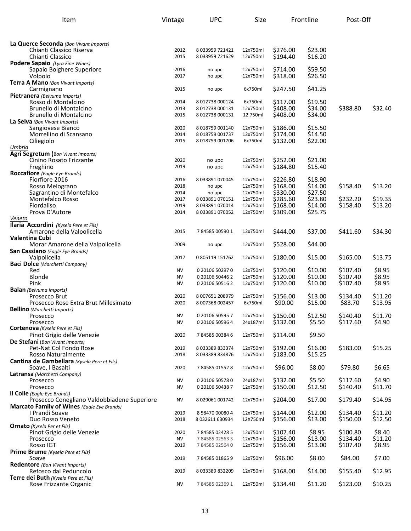| Item                                                                 | Vintage                | <b>UPC</b>                         | Size                 | Frontline            |                    | Post-Off             |                    |
|----------------------------------------------------------------------|------------------------|------------------------------------|----------------------|----------------------|--------------------|----------------------|--------------------|
|                                                                      |                        |                                    |                      |                      |                    |                      |                    |
| La Querce Seconda (Bon Vivant Imports)                               |                        |                                    |                      |                      |                    |                      |                    |
| Chianti Classico Riserva                                             | 2012                   | 8 033959 721421                    | 12x750ml             | \$276.00             | \$23.00            |                      |                    |
| Chianti Classico                                                     | 2015                   | 8 033959 721629                    | 12x750ml             | \$194.40             | \$16.20            |                      |                    |
| Podere Sapaio (Lyra Fine Wines)<br>Sapaio Bolghere Superiore         | 2016                   | no upc                             | 12x750ml             | \$714.00             | \$59.50            |                      |                    |
| Volpolo                                                              | 2017                   | no upc                             | 12x750ml             | \$318.00             | \$26.50            |                      |                    |
| Terra A Mano (Bon Vivant Imports)                                    |                        |                                    |                      |                      |                    |                      |                    |
| Carmignano                                                           | 2015                   | no upc                             | 6x750ml              | \$247.50             | \$41.25            |                      |                    |
| Pietranera (Beivuma Imports)<br>Rosso di Montalcino                  | 2014                   | 8 012738 000124                    | 6x750ml              | \$117.00             | \$19.50            |                      |                    |
| Brunello di Montalcino                                               | 2013                   | 8 012738 000131                    | 12x750ml             | \$408.00             | \$34.00            | \$388.80             | \$32.40            |
| Brunello di Montalcino                                               | 2015                   | 8 012738 000131                    | 12.750ml             | \$408.00             | \$34.00            |                      |                    |
| La Selva (Bon Vivant Imports)<br>Sangiovese Bianco                   | 2020                   | 8 018759 001140                    | 12x750ml             | \$186.00             | \$15.50            |                      |                    |
| Morrellino di Scansano                                               | 2014                   | 8 018759 001737                    | 12x750ml             | \$174.00             | \$14.50            |                      |                    |
| Ciliegiolo                                                           | 2015                   | 8 018759 001706                    | 6x750ml              | \$132.00             | \$22.00            |                      |                    |
| Umbria                                                               |                        |                                    |                      |                      |                    |                      |                    |
| <b>Agri Segretum</b> (Bon Vivant Imports)<br>Cinino Rosato Frizzante | 2020                   | no upc                             | 12x750ml             | \$252.00             | \$21.00            |                      |                    |
| Freghino                                                             | 2019                   | no upc                             | 12x750ml             | \$184.80             | \$15.40            |                      |                    |
| <b>Roccafiore</b> (Eagle Eye Brands)                                 |                        |                                    |                      |                      |                    |                      |                    |
| Fiorfiore 2016<br>Rosso Melograno                                    | 2016<br>2018           | 8 033891 070045<br>no upc          | 12x750ml<br>12x750ml | \$226.80<br>\$168.00 | \$18.90<br>\$14.00 | \$158.40             | \$13.20            |
| Sagrantino di Montefalco                                             | 2014                   | no upc                             | 12x750ml             | \$330.00             | \$27.50            |                      |                    |
| Montefalco Rosso                                                     | 2017                   | 8 033891 070151                    | 12x750ml             | \$285.60             | \$23.80            | \$232.20             | \$19.35            |
| Fiordaliso                                                           | 2019                   | 8 033891 070014                    | 12x750ml             | \$168.00             | \$14.00            | \$158.40             | \$13.20            |
| Prova D'Autore<br>Veneto                                             | 2014                   | 8 033891 070052                    | 12x750ml             | \$309.00             | \$25.75            |                      |                    |
| Ilaria Accordini (Kysela Pere et Fils)                               |                        |                                    |                      |                      |                    |                      |                    |
| Amarone della Valpolicella                                           | 2015                   | 784585005901                       | 12x750ml             | \$444.00             | \$37.00            | \$411.60             | \$34.30            |
| <b>Valentina Cubi</b>                                                |                        |                                    |                      |                      |                    |                      |                    |
| Morar Amarone della Valpolicella<br>San Cassiano (Eagle Eye Brands)  | 2009                   | no upc                             | 12x750ml             | \$528.00             | \$44.00            |                      |                    |
| Valpolicella                                                         | 2017                   | 0805119151762                      | 12x750ml             | \$180.00             | \$15.00            | \$165.00             | \$13.75            |
| <b>Baci Dolce</b> (Marchetti Company)                                |                        |                                    |                      |                      |                    |                      |                    |
| Red<br>Blonde                                                        | <b>NV</b><br><b>NV</b> | 0 20106 50297 0<br>0 20106 50446 2 | 12x750ml<br>12x750ml | \$120.00<br>\$120.00 | \$10.00<br>\$10.00 | \$107.40<br>\$107.40 | \$8.95<br>\$8.95   |
| Pink                                                                 | <b>NV</b>              | 0 20106 50516 2                    | 12x750ml             | \$120.00             | \$10.00            | \$107.40             | \$8.95             |
| <b>Balan</b> (Beivuma Imports)                                       |                        |                                    |                      |                      |                    |                      |                    |
| Prosecco Brut<br>Prosecco Rose Extra Brut Millesimato                | 2020<br>2020           | 8 007651 208979<br>8007368002457   | 12x750ml<br>6x750ml  | \$156.00<br>\$90.00  | \$13.00<br>\$15.00 | \$134.40<br>\$83.70  | \$11.20<br>\$13.95 |
| <b>Bellino</b> (Marchetti Imports)                                   |                        |                                    |                      |                      |                    |                      |                    |
| Prosecco                                                             | <b>NV</b>              | 0 20106 50595 7                    | 12x750ml             | \$150.00             | \$12.50            | \$140.40             | \$11.70            |
| Prosecco<br>Cortenova (Kysela Pere et Fils)                          | NV                     | 0 20106 50596 4                    | 24x187ml             | \$132.00             | \$5.50             | \$117.60             | \$4.90             |
| Pinot Grigio delle Venezie                                           | 2020                   | 784585003846                       | 12x750ml             | \$114.00             | \$9.50             |                      |                    |
| De Stefani (Bon Vivant Imports)                                      |                        |                                    |                      |                      |                    |                      |                    |
| Pet-Nat Col Fondo Rose                                               | 2019                   | 8033389833374                      | 12x750ml             | \$192.00             | \$16.00            | \$183.00             | \$15.25            |
| Rosso Naturalmente<br>Cantina de Gambellara (Kysela Pere et Fils)    | 2018                   | 8 033389 834876                    | 12x750ml             | \$183.00             | \$15.25            |                      |                    |
| Soave, I Basalti                                                     | 2020                   | 784585015528                       | 12x750ml             | \$96.00              | \$8.00             | \$79.80              | \$6.65             |
| Latransa (Marchetti Company)                                         |                        |                                    |                      |                      |                    |                      |                    |
| Prosecco                                                             | <b>NV</b>              | 0 20106 50578 0                    | 24x187ml             | \$132.00             | \$5.50             | \$117.60             | \$4.90             |
| Prosecco<br><b>Il Colle</b> (Eagle Eye Brands)                       | <b>NV</b>              | 0 20106 50438 7                    | 12x750ml             | \$150.00             | \$12.50            | \$140.40             | \$11.70            |
| Prosecco Conegliano Valdobbiadene Superiore                          | <b>NV</b>              | 8 029061 001742                    | 12x750ml             | \$204.00             | \$17.00            | \$179.40             | \$14.95            |
| <b>Marcato Family of Wines (Eagle Eye Brands)</b>                    |                        |                                    |                      |                      |                    |                      |                    |
| I Prandi Soave<br>Duo Rosso Veneto                                   | 2019<br>2018           | 8 58470 00080 4<br>8 032611 630934 | 12x750ml<br>12X750ml | \$144.00<br>\$156.00 | \$12.00<br>\$13.00 | \$134.40<br>\$150.00 | \$11.20<br>\$12.50 |
| <b>Ornato</b> (Kysela Per et Fils)                                   |                        |                                    |                      |                      |                    |                      |                    |
| Pinot Grigio delle Venezie                                           | 2020                   | 784585024285                       | 12x750ml             | \$107.40             | \$8.95             | \$100.80             | \$8.40             |
| Prosecco                                                             | NV                     | 784585025633                       | 12x750ml             | \$156.00             | \$13.00            | \$134.40             | \$11.20            |
| Rosso IGT<br>Prime Brume (Kysela Pere et Fils)                       | 2019                   | 784585025640                       | 12x750ml             | \$156.00             | \$13.00            | \$107.40             | \$8.95             |
| Soave                                                                | 2019                   | 784585018659                       | 12x750ml             | \$96.00              | \$8.00             | \$84.00              | \$7.00             |
| <b>Redentore</b> (Bon Vivant Imports)                                |                        |                                    |                      |                      |                    |                      |                    |
| Refosco dal Peduncolo<br>Terre dei Buth (Kysela Pere et Fils)        | 2019                   | 8033389832209                      | 12x750ml             | \$168.00             | \$14.00            | \$155.40             | \$12.95            |
| Rose Frizzante Organic                                               | <b>NV</b>              | 784585023691                       | 12x750ml             | \$134.40             | \$11.20            | \$123.00             | \$10.25            |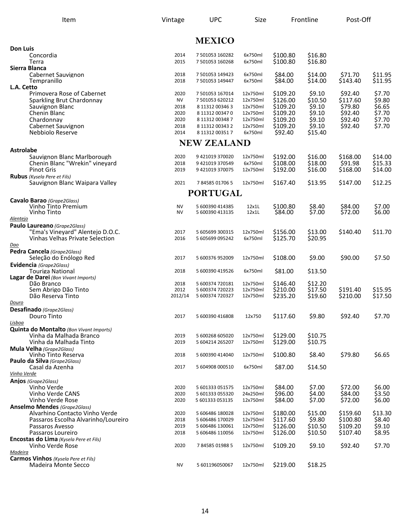| Item                                                                                                          | Vintage                      | <b>UPC</b>                                                               | Size                                         | Frontline                                    |                                         | Post-Off                                     |                                       |
|---------------------------------------------------------------------------------------------------------------|------------------------------|--------------------------------------------------------------------------|----------------------------------------------|----------------------------------------------|-----------------------------------------|----------------------------------------------|---------------------------------------|
|                                                                                                               |                              | <b>MEXICO</b>                                                            |                                              |                                              |                                         |                                              |                                       |
| <b>Don Luis</b><br>Concordia<br>Terra                                                                         | 2014<br>2015                 | 7 501053 160282<br>7 501053 160268                                       | 6x750ml<br>6x750ml                           | \$100.80<br>\$100.80                         | \$16.80<br>\$16.80                      |                                              |                                       |
| Sierra Blanca<br>Cabernet Sauvignon<br>Tempranillo                                                            | 2018<br>2018                 | 7 501053 149423<br>7 501053 149447                                       | 6x750ml<br>6x750ml                           | \$84.00<br>\$84.00                           | \$14.00<br>\$14.00                      | \$71.70<br>\$143.40                          | \$11.95<br>\$11.95                    |
| L.A. Cetto<br>Primovera Rose of Cabernet<br>Sparkling Brut Chardonnay                                         | 2020<br><b>NV</b>            | 7 501053 167014<br>7 501053 620212                                       | 12x750ml<br>12x750ml                         | \$109.20<br>\$126.00                         | \$9.10<br>\$10.50                       | \$92.40<br>\$117.60                          | \$7.70<br>\$9.80                      |
| Sauvignon Blanc<br>Chenin Blanc<br>Chardonnay                                                                 | 2018<br>2020<br>2020         | 8 11312 00346 3<br>8 11312 00347 0<br>8 11312 00348 7                    | 12x750ml<br>12x750ml<br>12x750ml             | \$109.20<br>\$109.20<br>\$109.20             | \$9.10<br>\$9.10<br>\$9.10              | \$79.80<br>\$92.40<br>\$92.40                | \$6.65<br>\$7.70<br>\$7.70            |
| Cabernet Sauvignon<br>Nebbiolo Reserve                                                                        | 2018<br>2014                 | 8 11312 00343 2<br>8 11312 00351 7                                       | 12x750ml<br>6x750ml                          | \$109.20<br>\$92.40                          | \$9.10<br>\$15.40                       | \$92.40                                      | \$7.70                                |
|                                                                                                               |                              | <b>NEW ZEALAND</b>                                                       |                                              |                                              |                                         |                                              |                                       |
| <b>Astrolabe</b><br>Sauvignon Blanc Marlborough<br>Chenin Blanc "Wrekin" vineyard<br><b>Pinot Gris</b>        | 2020<br>2018<br>2019         | 9 421019 370020<br>9 421019 370549<br>9 421019 370075                    | 12x750ml<br>6x750ml<br>12x750ml              | \$192.00<br>\$108.00<br>\$192.00             | \$16.00<br>\$18.00<br>\$16.00           | \$168.00<br>\$91.98<br>\$168.00              | \$14.00<br>\$15.33                    |
| <b>Rubus</b> (Kysela Pere et Fils)<br>Sauvignon Blanc Waipara Valley                                          | 2021                         | 784585017065                                                             | 12x750ml                                     | \$167.40                                     | \$13.95                                 | \$147.00                                     | \$14.00<br>\$12.25                    |
|                                                                                                               |                              | <b>PORTUGAL</b>                                                          |                                              |                                              |                                         |                                              |                                       |
| Cavalo Barao (Grape2Glass)<br>Vinho Tinto Premium<br>Vinho Tinto                                              | <b>NV</b><br><b>NV</b>       | 5 600390 414385<br>5 600390 413135                                       | 12x1L<br>12x1L                               | \$100.80<br>\$84.00                          | \$8.40<br>\$7.00                        | \$84.00<br>\$72.00                           | \$7.00<br>\$6.00                      |
| Alentejo<br>Paulo Laureano (Grape2Glass)                                                                      |                              |                                                                          |                                              |                                              |                                         |                                              |                                       |
| "Ema's Vineyard" Alentejo D.O.C.<br>Vinhas Velhas Private Selection                                           | 2017<br>2016                 | 5 605699 300315<br>5 605699 095242                                       | 12x750ml<br>6x750ml                          | \$156.00<br>\$125.70                         | \$13.00<br>\$20.95                      | \$140.40                                     | \$11.70                               |
| Dao<br>Pedra Cancela (Grape2Glass)<br>Seleção do Enólogo Red                                                  | 2017                         | 5 600376 952009                                                          | 12x750ml                                     | \$108.00                                     | \$9.00                                  | \$90.00                                      | \$7.50                                |
| Evidencia (Grape2Glass)<br><b>Touriga National</b><br>Lagar de Darei (Bon Vivant Imports)                     | 2018                         | 5 600390 419526                                                          | 6x750ml                                      | \$81.00                                      | \$13.50                                 |                                              |                                       |
| Dão Branco<br>Sem Abrigo Dão Tinto<br>Dão Reserva Tinto                                                       | 2018<br>2012<br>2012/14      | 5 600374 720181<br>5 600374 720223<br>5 600374 720327                    | 12x750ml<br>12x750ml<br>12x750ml             | \$146.40<br>\$210.00<br>\$235.20             | \$12.20<br>\$17.50<br>\$19.60           | \$191.40<br>\$210.00                         | \$15.95<br>\$17.50                    |
| Douro<br>Desafinado (Grape2Glass)<br>Douro Tinto                                                              | 2017                         | 5 600390 416808                                                          | 12x750                                       | \$117.60                                     | \$9.80                                  | \$92.40                                      | \$7.70                                |
| Lisboa<br><b>Quinta do Montalto</b> (Bon Vivant Imports)<br>Vinha da Malhada Branco                           | 2019                         |                                                                          | 12x750ml                                     | \$129.00                                     | \$10.75                                 |                                              |                                       |
| Vinha da Malhada Tinto<br>Mula Velha (Grape2Glass)                                                            | 2019                         | 5 600268 605020<br>5 604214 265207                                       | 12x750ml                                     | \$129.00                                     | \$10.75                                 |                                              |                                       |
| Vinho Tinto Reserva<br>Paulo da Silva (Grape2Glass)<br>Casal da Azenha                                        | 2018<br>2017                 | 5 600390 414040<br>5 604908 000510                                       | 12x750ml<br>6x750ml                          | \$100.80<br>\$87.00                          | \$8.40<br>\$14.50                       | \$79.80                                      | \$6.65                                |
| Vinho Verde                                                                                                   |                              |                                                                          |                                              |                                              |                                         |                                              |                                       |
| Anjos (Grape2Glass)<br>Vinho Verde<br>Vinho Verde CANS                                                        | 2020<br>2020                 | 5 601333 051575<br>5 601333 055320                                       | 12x750ml<br>24x250ml                         | \$84.00<br>\$96.00                           | \$7.00<br>\$4.00                        | \$72.00<br>\$84.00                           | \$6.00<br>\$3.50                      |
| Vinho Verde Rose<br><b>Anselmo Mendes</b> (Grape2Glass)                                                       | 2020                         | 5 601333 053135                                                          | 12x750ml                                     | \$84.00                                      | \$7.00                                  | \$72.00                                      | \$6.00                                |
| Alvarhino Contacto Vinho Verde<br>Passaros Escolha Alvarinho/Loureiro<br>Passaros Avesso<br>Passaros Loureiro | 2020<br>2018<br>2019<br>2018 | 5 606486 180028<br>5 606486 170029<br>5 606486 130061<br>5 606486 110056 | 12x750ml<br>12x750ml<br>12x750ml<br>12x750ml | \$180.00<br>\$117.60<br>\$126.00<br>\$126.00 | \$15.00<br>\$9.80<br>\$10.50<br>\$10.50 | \$159.60<br>\$100.80<br>\$109.20<br>\$107.40 | \$13.30<br>\$8.40<br>\$9.10<br>\$8.95 |
| Encostas do Lima (Kysela Pere et Fils)<br>Vinho Verde Rose                                                    | 2020                         | 784585019885                                                             | 12x750ml                                     | \$109.20                                     | \$9.10                                  | \$92.40                                      | \$7.70                                |
| Madeira<br><b>Carmos Vinhos</b> (Kysela Pere et Fils)<br>Madeira Monte Secco                                  | ΝV                           | 5 601196050067                                                           | 12x750ml                                     | \$219.00                                     | \$18.25                                 |                                              |                                       |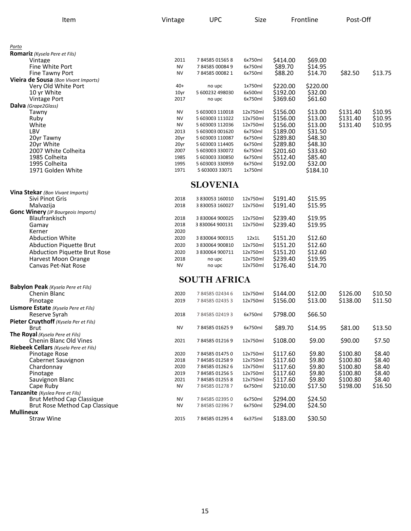| Item                                                   | Vintage      | <b>UPC</b>                        | Size               | Frontline            |                    | Post-Off |         |
|--------------------------------------------------------|--------------|-----------------------------------|--------------------|----------------------|--------------------|----------|---------|
|                                                        |              |                                   |                    |                      |                    |          |         |
| <u>Porto</u>                                           |              |                                   |                    |                      |                    |          |         |
| <b>Romariz</b> (Kysela Pere et Fils)<br>Vintage        | 2011         | 784585015658                      | 6x750ml            | \$414.00             | \$69.00            |          |         |
| Fine White Port                                        | <b>NV</b>    | 784585000849                      | 6x750ml            | \$89.70              | \$14.95            |          |         |
| Fine Tawny Port                                        | <b>NV</b>    | 784585000821                      | 6x750ml            | \$88.20              | \$14.70            | \$82.50  | \$13.75 |
| Vieira de Sousa (Bon Vivant Imports)                   |              |                                   |                    |                      |                    |          |         |
| Very Old White Port                                    | $40+$        | no upc                            | 1x750ml            | \$220.00             | \$220.00           |          |         |
| 10 vr White                                            | 10yr         | 5 600232 498030                   | 6x500ml            | \$192.00             | \$32.00            |          |         |
| <b>Vintage Port</b>                                    | 2017         | no upc                            | 6x750ml            | \$369.60             | \$61.60            |          |         |
| <b>Dalva</b> (Grape2Glass)                             |              |                                   |                    |                      |                    |          |         |
| Tawny                                                  | <b>NV</b>    | 5 603003 110018                   | 12x750ml           | \$156.00             | \$13.00            | \$131.40 | \$10.95 |
| Ruby                                                   | <b>NV</b>    | 5 603003 111022                   | 12x750ml           | \$156.00             | \$13.00            | \$131.40 | \$10.95 |
| White                                                  | <b>NV</b>    | 5 603003 112036                   | 12x750ml           | \$156.00             | \$13.00            | \$131.40 | \$10.95 |
| LBV                                                    | 2013         | 5 603003 001620                   | 6x750ml            | \$189.00             | \$31.50            |          |         |
| 20yr Tawny                                             | 20yr         | 5 603003 110087                   | 6x750ml            | \$289.80             | \$48.30            |          |         |
| 20yr White                                             | 20yr         | 5 603003 114405                   | 6x750ml            | \$289.80             | \$48.30            |          |         |
| 2007 White Colheita                                    | 2007         | 5 603003 330072                   | 6x750ml            | \$201.60             | \$33.60            |          |         |
| 1985 Colheita<br>1995 Colheita                         | 1985<br>1995 | 5 603003 330850                   | 6x750ml<br>6x750ml | \$512.40<br>\$192.00 | \$85.40<br>\$32.00 |          |         |
| 1971 Golden White                                      | 1971         | 5 603003 330959<br>5 603003 33071 | 1x750ml            |                      | \$184.10           |          |         |
|                                                        |              |                                   |                    |                      |                    |          |         |
|                                                        |              | <b>SLOVENIA</b>                   |                    |                      |                    |          |         |
| Vina Stekar (Bon Vivant Imports)                       |              |                                   |                    |                      |                    |          |         |
| Sivi Pinot Gris                                        | 2018<br>2018 | 3 830053 160010                   | 12x750ml           | \$191.40<br>\$191.40 | \$15.95<br>\$15.95 |          |         |
| Malvazija<br><b>Gonc Winery</b> (JP Bourgeois Imports) |              | 3 830053 160027                   | 12x750ml           |                      |                    |          |         |
| <b>Blaufrankisch</b>                                   | 2018         | 3 830064 900025                   | 12x750ml           | \$239.40             | \$19.95            |          |         |
| Gamay                                                  | 2018         | 3 830064 900131                   | 12x750ml           | \$239.40             | \$19.95            |          |         |
| Kerner                                                 | 2020         |                                   |                    |                      |                    |          |         |
| <b>Abduction White</b>                                 | 2020         | 3 830064 900315                   | 12x1L              | \$151.20             | \$12.60            |          |         |
| Abduction Piquette Brut                                | 2020         | 3 830064 900810                   | 12x750ml           | \$151.20             | \$12.60            |          |         |
| <b>Abduction Piquette Brut Rose</b>                    | 2020         | 3 830064 900711                   | 12x750ml           | \$151.20             | \$12.60            |          |         |
| Harvest Moon Orange                                    | 2018         | no upc                            | 12x750ml           | \$239.40             | \$19.95            |          |         |
| Canvas Pet-Nat Rose                                    | <b>NV</b>    | no upc                            | 12x750ml           | \$176.40             | \$14.70            |          |         |
|                                                        |              |                                   |                    |                      |                    |          |         |
| <b>Babylon Peak</b> (Kysela Pere et Fils)              |              | <b>SOUTH AFRICA</b>               |                    |                      |                    |          |         |
| Chenin Blanc                                           | 2020         | 784585024346                      | 12x750ml           | \$144.00             | \$12.00            | \$126.00 | \$10.50 |
| Pinotage                                               | 2019         | 784585024353                      | 12x750ml           | \$156.00             | \$13.00            | \$138.00 | \$11.50 |
| Lismore Estate (Kysela Pere et Fils)                   |              |                                   |                    |                      |                    |          |         |
| Reserve Syrah                                          | 2018         | 784585024193                      | 6x750ml            | \$798.00             | \$66.50            |          |         |
| Pieter Cruythoff (Kysela Per et Fils)                  |              |                                   |                    |                      |                    |          |         |
| <b>Brut</b>                                            | NV           | 784585016259                      | 6x750ml            | \$89.70              | \$14.95            | \$81.00  | \$13.50 |
| The Royal (Kysela Pere et Fils)                        |              |                                   |                    |                      |                    |          |         |
| Chenin Blanc Old Vines                                 | 2021         | 784585012169                      | 12x750ml           | \$108.00             | \$9.00             | \$90.00  | \$7.50  |
| Riebeek Cellars (Kysela Pere et Fils)                  |              |                                   |                    |                      |                    |          |         |
| Pinotage Rose                                          | 2020         | 784585014750                      | 12x750ml           | \$117.60             | \$9.80             | \$100.80 | \$8.40  |
| Cabernet Sauvignon                                     | 2018         | 784585012589                      | 12x750ml           | \$117.60             | \$9.80             | \$100.80 | \$8.40  |
| Chardonnay                                             | 2020         | 784585012626                      | 12x750ml           | \$117.60             | \$9.80             | \$100.80 | \$8.40  |
| Pinotage                                               | 2019         | 784585012565                      | 12x750ml           | \$117.60             | \$9.80             | \$100.80 | \$8.40  |
| Sauvignon Blanc                                        | 2021         | 784585012558                      | 12x750ml           | \$117.60             | \$9.80             | \$100.80 | \$8.40  |
| Cape Ruby                                              | <b>NV</b>    | 784585012787                      | 6x750ml            | \$210.00             | \$17.50            | \$198.00 | \$16.50 |
| Tanzanite (Kyslea Pere et Fils)                        |              |                                   |                    |                      |                    |          |         |
| <b>Brut Method Cap Classique</b>                       | <b>NV</b>    | 784585023950                      | 6x750ml            | \$294.00             | \$24.50            |          |         |
| Brut Rose Method Cap Classique                         | NV           | 784585023967                      | 6x750ml            | \$294.00             | \$24.50            |          |         |
| <b>Mullineux</b><br><b>Straw Wine</b>                  | 2015         | 784585012954                      | 6x375ml            | \$183.00             | \$30.50            |          |         |
|                                                        |              |                                   |                    |                      |                    |          |         |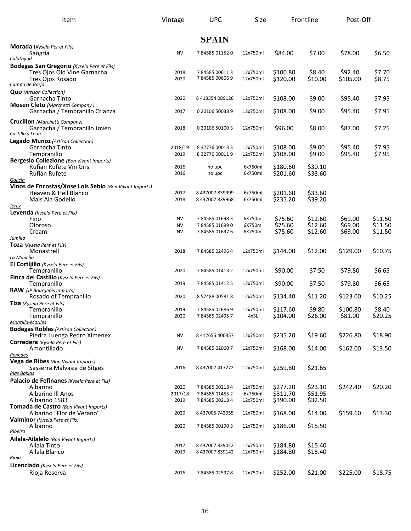| Item                                                                                                                         | Vintage                             | <b>UPC</b>                                   |                                 | Size<br>Frontline                |                               | Post-Off                      |                               |
|------------------------------------------------------------------------------------------------------------------------------|-------------------------------------|----------------------------------------------|---------------------------------|----------------------------------|-------------------------------|-------------------------------|-------------------------------|
|                                                                                                                              |                                     | <b>SPAIN</b>                                 |                                 |                                  |                               |                               |                               |
| <b>Morada</b> (Kysela Per et Fils)<br>Sangria<br>Calatayud                                                                   | <b>NV</b>                           | 784585011520                                 | 12x750ml                        | \$84.00                          | \$7.00                        | \$78.00                       | \$6.50                        |
| <b>Bodegas San Gregorio</b> (Kysela Pere et Fils)<br>Tres Ojos Old Vine Garnacha<br>Tres Ojos Rosado<br>Campo de Borja       | 2018<br>2020                        | 784585006113<br>784585006069                 | 12x750ml<br>12x750ml            | \$100.80<br>\$120.00             | \$8.40<br>\$10.00             | \$92.40<br>\$105.00           | \$7.70<br>\$8.75              |
| <b>Quo</b> (Artisan Collection)<br>Garnacha Tinto                                                                            | 2020                                | 8 413354 089126                              | 12x750ml                        | \$108.00                         | \$9.00                        | \$95.40                       | \$7.95                        |
| <b>Mosen Cleto</b> (Marchetti Company)<br>Garnacha / Tempranillo Crianza                                                     | 2017                                | 0 20106 50038 9                              | 12x750ml                        | \$108.00                         | \$9.00                        | \$95.40                       | \$7.95                        |
| <b>Crucillon</b> (Marchetti Company)<br>Garnacha / Tempranillo Joven<br>Castilla y Leon                                      | 2018                                | 0 20106 50100 3                              | 12x750ml                        | \$96.00                          | \$8.00                        | \$87.00                       | \$7.25                        |
| <b>Legado Munoz</b> (Artisan Collection)<br>Garnacha Tinto<br>Tempranillo<br><b>Bergesio Collezione</b> (Bon Vivant Imports) | 2018/19<br>2019                     | 8 32776 00013 3<br>8 32776 00011 9           | 12x750ml<br>12x750ml            | \$108.00<br>\$108.00             | \$9.00<br>\$9.00              | \$95.40<br>\$95.40            | \$7.95<br>\$7.95              |
| Rufian Rufete Vin Gris<br><b>Rufian Rufete</b><br>Galicia                                                                    | 2016<br>2016                        | no upc<br>no upc                             | 6x750ml<br>6x750ml              | \$180.60<br>\$201.60             | \$30.10<br>\$33.60            |                               |                               |
| Vinos de Encostas/Xose Lois Sebio (Bon Vivant Imports)<br>Heaven & Hell Blanco<br>Mais Ala Godello<br><u>Jerez</u>           | 2017<br>2018                        | 8 437007 839999<br>8 437007 839968           | 6x750ml<br>6x750ml              | \$201.60<br>\$235.20             | \$33.60<br>\$39.20            |                               |                               |
| Leyenda (Kysela Pere et Fils)<br>Fino<br>Oloroso<br>Cream<br>Jumilla                                                         | <b>NV</b><br><b>NV</b><br><b>NV</b> | 784585016983<br>784585016990<br>784585016976 | 6X750ml<br>6X750ml<br>6X750ml   | \$75.60<br>\$75.60<br>\$75.60    | \$12.60<br>\$12.60<br>\$12.60 | \$69.00<br>\$69.00<br>\$69.00 | \$11.50<br>\$11.50<br>\$11.50 |
| Toza (Kysela Pere et Fils)<br>Monastrell<br>La Mancha                                                                        | 2018                                | 784585024964                                 | 12x750ml                        | \$144.00                         | \$12.00                       | \$129.00                      | \$10.75                       |
| El Cortijillo (Kysela Pere et Fils)<br>Tempranillo<br>Finca del Castillo (Kysela Pere et Fils)                               | 2020                                | 784585014132                                 | 12x750ml                        | \$90.00                          | \$7.50                        | \$79.80                       | \$6.65                        |
| Tempranillo<br><b>RAW</b> (JP Bourgeois Imports)                                                                             | 2019                                | 784585014125                                 | 12x750ml                        | \$90.00                          | \$7.50                        | \$79.80                       | \$6.65                        |
| Rosado of Tempranillo<br>Tiza (Kysela Pere et Fils)                                                                          | 2020                                | 8 57488 005818                               | 12x750ml                        | \$134.40                         | \$11.20                       | \$123.00                      | \$10.25                       |
| Tempranillo<br>Tempranillo<br>Montilla-Moriles                                                                               | 2019<br>2020                        | 784585026869<br>784585024957                 | 12x750ml<br>4x3L                | \$117.60<br>\$104.00             | \$9.80<br>\$26.00             | \$100.80<br>\$81.00           | \$8.40<br>\$20.25             |
| <b>Bodegas Robles (Artisan Collection)</b><br>Piedra Luenga Pedro Ximenex<br>Corredera (Kysela Pere et Fils)                 | <b>NV</b>                           | 8 412655 400357                              | 12x750ml                        | \$235.20                         | \$19.60                       | \$226.80                      | \$18.90                       |
| Amontillado<br>Penedes                                                                                                       | <b>NV</b>                           | 784585020607                                 | 12x750ml                        | \$168.00                         | \$14.00                       | \$162.00                      | \$13.50                       |
| Vega de Ribes (Bon Vivant Imports)<br>Sasserra Malvasia de Sitges<br>Rias Baixas                                             | 2016                                | 8 437007 417272                              | 12x750ml                        | \$259.80                         | \$21.65                       |                               |                               |
| Palacio de Fefinanes (Kysela Pere et Fils)<br>Albarino<br>Albarino III Anos<br>Albarino 1583                                 | 2020<br>2017/18<br>2019             | 784585002184<br>784585014552<br>784585002184 | 12x750ml<br>6x750ml<br>12x750ml | \$277.20<br>\$311.70<br>\$390.00 | \$23.10<br>\$51.95<br>\$32.50 | \$242.40                      | \$20.20                       |
| Tomada de Castro (Bon Vivant Imports)<br>Albarino "Flor de Verano"                                                           | 2020                                | 8 437005 742055                              | 12x750ml                        | \$168.00                         | \$14.00                       | \$159.60                      | \$13.30                       |
| Valminor (Kysela Pere et Fils)<br>Albarino<br>Ribeiro                                                                        | 2020                                | 784585001903                                 | 12x750ml                        | \$186.00                         | \$15.50                       |                               |                               |
| Ailala-Ailalelo (Bon Vivant Imports)<br>Ailala Tinto<br>Ailala Blanco<br>Rioja                                               | 2017<br>2019                        | 8 437007 839012<br>8 437007 839142           | 12x750ml<br>12x750ml            | \$184.80<br>\$184.80             | \$15.40<br>\$15.40            |                               |                               |
| Licenciado (Kysela Pere et Fils)<br>Rioja Reserva                                                                            | 2016                                | 784585025978                                 | 12x750ml                        | \$252.00                         | \$21.00                       | \$225.00                      | \$18.75                       |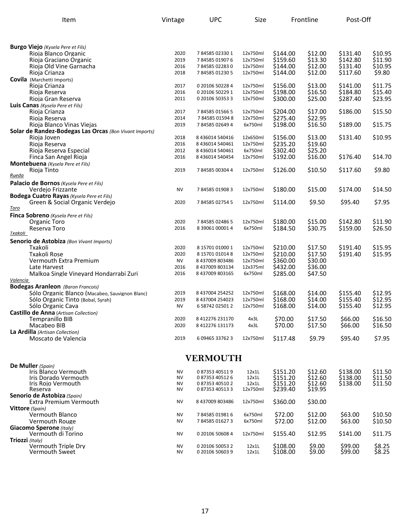| Item                                                                                       | <b>UPC</b><br>Vintage |                 | Size     | Frontline |                    | Post-Off |         |
|--------------------------------------------------------------------------------------------|-----------------------|-----------------|----------|-----------|--------------------|----------|---------|
|                                                                                            |                       |                 |          |           |                    |          |         |
| <b>Burgo Viejo</b> (Kysela Pere et Fils)                                                   |                       |                 |          |           |                    |          |         |
| Rioja Blanco Organic                                                                       | 2020                  | 784585023301    | 12x750ml | \$144.00  | \$12.00            | \$131.40 | \$10.95 |
| Rioja Graciano Organic                                                                     | 2019                  | 784585019076    | 12x750ml | \$159.60  | \$13.30            | \$142.80 | \$11.90 |
| Rioja Old Vine Garnacha                                                                    | 2016                  | 784585022830    | 12x750ml | \$144.00  | \$12.00            | \$131.40 | \$10.95 |
| Rioja Crianza                                                                              | 2018                  | 784585012305    | 12x750ml | \$144.00  | \$12.00            | \$117.60 | \$9.80  |
| <b>Covila</b> (Marchetti Imports)                                                          |                       |                 |          |           |                    |          |         |
| Rioja Crianza                                                                              | 2017                  | 0 20106 50228 4 | 12x750ml | \$156.00  | \$13.00            | \$141.00 | \$11.75 |
| Rioja Reserva                                                                              | 2016                  | 0 20106 50229 1 | 12x750ml | \$198.00  | \$16.50<br>\$25.00 | \$184.80 | \$15.40 |
| Rioja Gran Reserva                                                                         | 2011                  | 0 20106 50353 3 | 12x750ml | \$300.00  |                    | \$287.40 | \$23.95 |
| Luis Canas (Kysela Pere et Fils)<br>Rioja Crianza                                          | 2017                  | 784585015665    | 12x750ml | \$204.00  | \$17.00            | \$186.00 | \$15.50 |
| Rioja Reserva                                                                              | 2014                  | 784585015948    | 12x750ml | \$275.40  | \$22.95            |          |         |
| Rioja Blanco Vinas Viejas                                                                  | 2019                  | 784585026494    | 6x750ml  | \$198.00  | \$16.50            | \$189.00 | \$15.75 |
| Solar de Randez-Bodegas Las Orcas (Bon Vivant Imports)                                     |                       |                 |          |           |                    |          |         |
| Rioja Joven                                                                                | 2018                  | 8 436014 540416 | 12x650ml | \$156.00  | \$13.00            | \$131.40 | \$10.95 |
| Rioja Reserva                                                                              | 2016                  | 8 436014 540461 | 12x750ml | \$235.20  | \$19.60            |          |         |
| Rioja Reserva Especial                                                                     | 2012                  | 8 436014 540461 | 6x750ml  | \$302.40  | \$25.20            |          |         |
| Finca San Angel Rioja                                                                      | 2016                  | 8 436014 540454 | 12x750ml | \$192.00  | \$16.00            | \$176.40 | \$14.70 |
| <b>Montebuena</b> (Kysela Pere et Fils)                                                    |                       |                 |          |           |                    |          |         |
| Rioja Tinto                                                                                | 2019                  | 784585003044    | 12x750ml | \$126.00  | \$10.50            | \$117.60 | \$9.80  |
| Rueda                                                                                      |                       |                 |          |           |                    |          |         |
| Palacio de Bornos (Kysela Pere et Fils)                                                    |                       |                 |          |           |                    |          |         |
| Verdejo Frizzante                                                                          | <b>NV</b>             | 784585019083    | 12x750ml | \$180.00  | \$15.00            | \$174.00 | \$14.50 |
| <b>Bodega Cuatro Rayas</b> (Kysela Pere et Fils)                                           |                       |                 |          |           |                    |          |         |
| Green & Social Organic Verdejo                                                             | 2020                  | 784585027545    | 12x750ml | \$114.00  | \$9.50             | \$95.40  | \$7.95  |
| <u>Toro</u>                                                                                |                       |                 |          |           |                    |          |         |
| Finca Sobreno (Kysela Pere et Fils)                                                        |                       |                 |          |           |                    |          |         |
| Organic Toro                                                                               | 2020                  | 784585024865    | 12x750ml | \$180.00  | \$15.00            | \$142.80 | \$11.90 |
| Reserva Toro                                                                               | 2016                  | 8 39061 00001 4 | 6x750ml  | \$184.50  | \$30.75            | \$159.00 | \$26.50 |
| Txakoli                                                                                    |                       |                 |          |           |                    |          |         |
| Senorio de Astobiza (Bon Vivant Imports)                                                   |                       |                 |          |           |                    |          |         |
| Txakoli                                                                                    | 2020                  | 8 15701 01000 1 | 12x750ml | \$210.00  | \$17.50            | \$191.40 | \$15.95 |
| Txakoli Rose                                                                               | 2020                  | 8 15701 01014 8 | 12x750ml | \$210.00  | \$17.50            | \$191.40 | \$15.95 |
| Vermouth Extra Premium                                                                     | <b>NV</b>             | 8 437009 803486 | 12x750ml | \$360.00  | \$30.00            |          |         |
| Late Harvest                                                                               | 2016                  | 8 437009 803134 | 12x375ml | \$432.00  | \$36.00            |          |         |
| Malkoa Single Vineyard Hondarrabi Zuri                                                     | 2016                  | 8 437009 803165 | 6x750ml  | \$285.00  | \$47.50            |          |         |
| <u>Valencia</u>                                                                            |                       |                 |          |           |                    |          |         |
| <b>Bodegas Aranleon</b> (Baron Francois)<br>Sólo Organic Blanco (Macabeo, Sauvignon Blanc) | 2019                  | 8 437004 254252 | 12x750ml | \$168.00  | \$14.00            | \$155.40 | \$12.95 |
| Sólo Organic Tinto (Bobal, Syrah)                                                          | 2019                  | 8 437004 254023 | 12x750ml | \$168.00  | \$14.00            | \$155.40 | \$12.95 |
| Sólo Organic Cava                                                                          | <b>NV</b>             | 6 58742 02501 2 | 12x750ml | \$168.00  | \$14.00            | \$155.40 | \$12.95 |
| <b>Castillo de Anna</b> (Artisan Collection)                                               |                       |                 |          |           |                    |          |         |
| Tempranillo BIB                                                                            | 2020                  | 8 412276 231170 | 4x3L     | \$70.00   | \$17.50            | \$66.00  | \$16.50 |
| Macabeo BIB                                                                                | 2020                  | 8 412276 131173 | 4x3L     | \$70.00   | \$17.50            | \$66.00  | \$16.50 |
| La Ardilla (Artisan Collection)                                                            |                       |                 |          |           |                    |          |         |
| Moscato de Valencia                                                                        | 2019                  | 6 09465 33762 3 | 12x750ml | \$117.48  | \$9.79             | \$95.40  | \$7.95  |
|                                                                                            |                       | <b>VERMOUTH</b> |          |           |                    |          |         |
| De Muller (Spain)                                                                          |                       |                 |          |           |                    |          |         |
| Iris Blanco Vermouth                                                                       | <b>NV</b>             | 087353405119    | 12x1L    | \$151.20  | \$12.60            | \$138.00 | \$11.50 |
| Iris Dorado Vermouth                                                                       | <b>NV</b>             | 087353405126    | 12x1L    | \$151.20  | \$12.60            | \$138.00 | \$11.50 |
| Iris Rojo Vermouth                                                                         | NV                    | 087353405102    | 12x1L    | \$151.20  | \$12.60            | \$138.00 | \$11.50 |
| Reserva                                                                                    | NV                    | 087353405133    | 12x750ml | \$239.40  | \$19.95            |          |         |
| Senorio de Astobiza (Spain)                                                                |                       |                 |          |           |                    |          |         |
| Extra Premium Vermouth                                                                     | <b>NV</b>             | 8437009803486   | 12x750ml | \$360.00  | \$30.00            |          |         |
| <b>Vittore</b> (Spain)                                                                     |                       |                 |          |           |                    |          |         |
| Vermouth Blanco                                                                            | <b>NV</b>             | 784585019816    | 6x750ml  | \$72.00   | \$12.00            | \$63.00  | \$10.50 |
| Vermouth Rouge                                                                             | NV                    | 784585016273    | 6x750ml  | \$72.00   | \$12.00            | \$63.00  | \$10.50 |
| Giacomo Sperone (Italy)                                                                    | NV                    |                 |          |           |                    |          |         |
| Vermouth di Torino<br>Triozzi (Italy)                                                      |                       | 0 20106 50608 4 | 12x750ml | \$155.40  | \$12.95            | \$141.00 | \$11.75 |
| Vermouth Triple Dry                                                                        | NV                    | 0 20106 50053 2 | 12x1L    | \$108.00  | \$9.00             | \$99.00  | \$8.25  |
| <b>Vermouth Sweet</b>                                                                      | <b>NV</b>             | 0 20106 50603 9 | 12x1L    | \$108.00  | \$9.00             | \$99.00  | \$8.25  |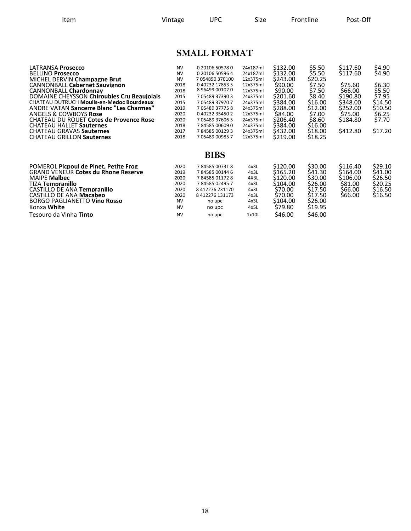Item **Interpreteral Vintage** UPC Size Frontline Post-Off

## **SMALL FORMAT**

| LATRANSA Prosecco<br><b>BELLINO Prosecco</b><br>MICHEL DERVIN Champagne Brut<br><b>CANNONBALL Cabernet Sauvignon</b><br><b>CANNONBALL Chardonnav</b><br>DOMAINE CHEYSSON Chiroubles Cru Beaujolais<br><b>CHATEAU DUTRUCH Moulis-en-Medoc Bourdeaux</b><br><b>ANDRE VATAN Sancerre Blanc "Les Charmes"</b><br><b>ANGELS &amp; COWBOYS Rose</b><br><b>CHATEAU DU ROUET Cotes de Provence Rose</b> | <b>NV</b><br><b>NV</b><br><b>NV</b><br>2018<br>2018<br>2015<br>2015<br>2019<br>2020<br>2020 | 0 20106 50578 0<br>0 20106 50596 4<br>7054890370100<br>040232178535<br>8 96499 00102 0<br>7 05489 37390 3<br>705489379707<br>7 05489 37775 8<br>040232354502<br>7 05489 37606 5 | 24x187ml<br>24x187ml<br>12x375ml<br>12x375ml<br>12x375ml<br>24x375ml<br>24x375ml<br>24x375ml<br>12x375ml<br>24x375ml | \$132.00<br>\$132.00<br>\$243.00<br>\$90.00<br>\$90.00<br>\$201.60<br>\$384.00<br>\$288.00<br>\$84.00<br>\$206.40 | \$5.50<br>\$5.50<br>\$20.25<br>\$7.50<br>\$7.50<br>\$8.40<br>\$16.00<br>\$12.00<br>\$7.00<br>\$8.60 | \$117.60<br>\$117.60<br>\$75.60<br>\$66.00<br>\$190.80<br>\$348.00<br>\$252.00<br>\$75.00<br>\$184.80 | \$4.90<br>\$4.90<br>\$6.30<br>\$5.50<br>\$7.95<br>\$14.50<br>\$10.50<br>\$6.25<br>\$7.70 |
|-------------------------------------------------------------------------------------------------------------------------------------------------------------------------------------------------------------------------------------------------------------------------------------------------------------------------------------------------------------------------------------------------|---------------------------------------------------------------------------------------------|---------------------------------------------------------------------------------------------------------------------------------------------------------------------------------|----------------------------------------------------------------------------------------------------------------------|-------------------------------------------------------------------------------------------------------------------|-----------------------------------------------------------------------------------------------------|-------------------------------------------------------------------------------------------------------|------------------------------------------------------------------------------------------|
| <b>CHATEAU HALLET Sauternes</b><br><b>CHATEAU GRAVAS Sauternes</b><br><b>CHATEAU GRILLON Sauternes</b>                                                                                                                                                                                                                                                                                          | 2018<br>2017<br>2018                                                                        | 784585006090<br>784585001293<br>7 05489 00985 7                                                                                                                                 | 24x375ml<br>24x375ml<br>12x375ml                                                                                     | \$384.00<br>\$432.00<br>\$219.00                                                                                  | \$16.00<br>\$18.00<br>\$18.25                                                                       | \$412.80                                                                                              | \$17.20                                                                                  |
| POMEROL Picpoul de Pinet. Petite Frog<br><b>GRAND VENEUR Cotes du Rhone Reserve</b><br><b>MAIPE Malbec</b><br><b>TIZA Tempranillo</b><br>CASTILLO DE ANA Tempranillo<br>CASTILLO DE ANA Macabeo<br><b>BORGO PAGLIANETTO Vino Rosso</b><br>Konxa White<br>Tesouro da Vinha <b>Tinto</b>                                                                                                          | 2020<br>2019<br>2020<br>2020<br>2020<br>2020<br><b>NV</b><br><b>NV</b><br><b>NV</b>         | <b>BIBS</b><br>784585007318<br>784585001446<br>784585011728<br>784585024957<br>8 412276 231170<br>8 412276 131173<br>no upc<br>no upc<br>no upc                                 | 4x3L<br>4x3L<br>4X3L<br>4x3L<br>4x3L<br>4x3L<br>4x3L<br>4x5L<br>1x10L                                                | \$120.00<br>\$165.20<br>\$120.00<br>\$104.00<br>\$70.00<br>\$70.00<br>\$104.00<br>\$79.80<br>\$46.00              | \$30.00<br>S41.30<br>\$30.00<br>\$26.00<br>\$17.50<br>\$17.50<br>\$26.00<br>\$19.95<br>\$46.00      | \$116.40<br>\$164.00<br>\$106.00<br>\$81.00<br>\$66.00<br>\$66.00                                     | \$29.10<br>\$41.00<br>\$26.50<br>\$20.25<br>\$16.50<br>\$16.50                           |